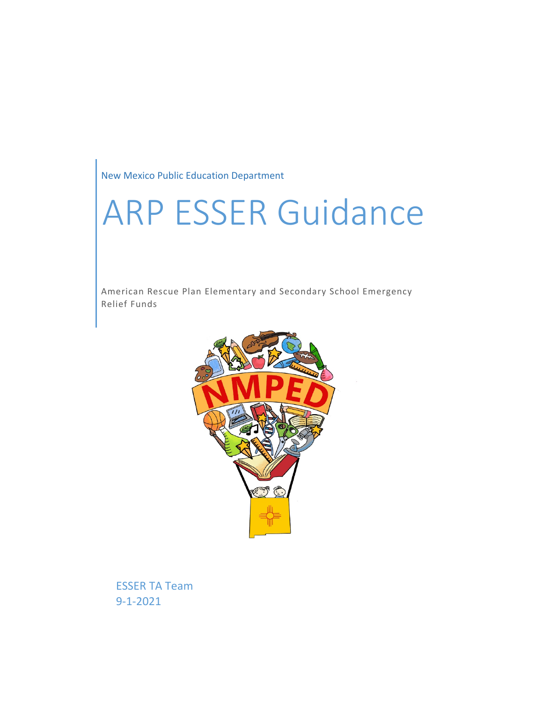New Mexico Public Education Department

# ARP ESSER Guidance

American Rescue Plan Elementary and Secondary School Emergency Relief Funds



ESSER TA Team 9-1-2021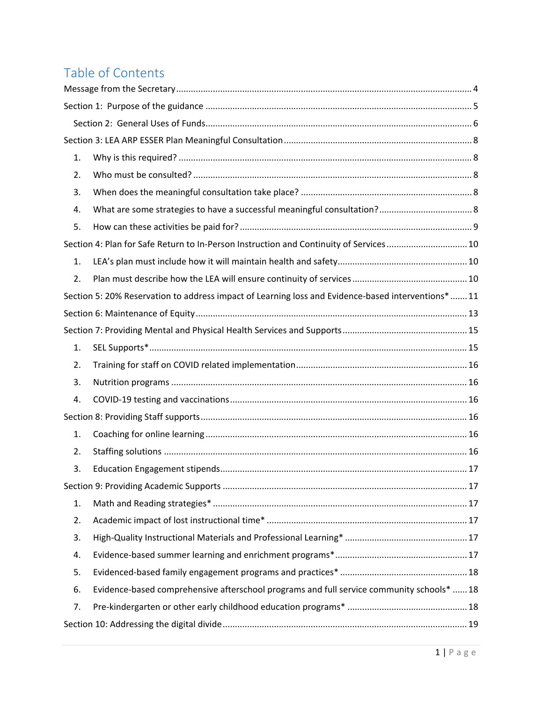# Table of Contents

| 1. |                                                                                                    |  |
|----|----------------------------------------------------------------------------------------------------|--|
| 2. |                                                                                                    |  |
| 3. |                                                                                                    |  |
| 4. |                                                                                                    |  |
| 5. |                                                                                                    |  |
|    | Section 4: Plan for Safe Return to In-Person Instruction and Continuity of Services 10             |  |
| 1. |                                                                                                    |  |
| 2. |                                                                                                    |  |
|    | Section 5: 20% Reservation to address impact of Learning loss and Evidence-based interventions* 11 |  |
|    |                                                                                                    |  |
|    |                                                                                                    |  |
| 1. |                                                                                                    |  |
| 2. |                                                                                                    |  |
| 3. |                                                                                                    |  |
| 4. |                                                                                                    |  |
|    |                                                                                                    |  |
| 1. |                                                                                                    |  |
| 2. |                                                                                                    |  |
| 3. |                                                                                                    |  |
|    |                                                                                                    |  |
| 1. |                                                                                                    |  |
| 2. |                                                                                                    |  |
| 3. |                                                                                                    |  |
| 4. |                                                                                                    |  |
| 5. |                                                                                                    |  |
| 6. | Evidence-based comprehensive afterschool programs and full service community schools*  18          |  |
| 7. |                                                                                                    |  |
|    |                                                                                                    |  |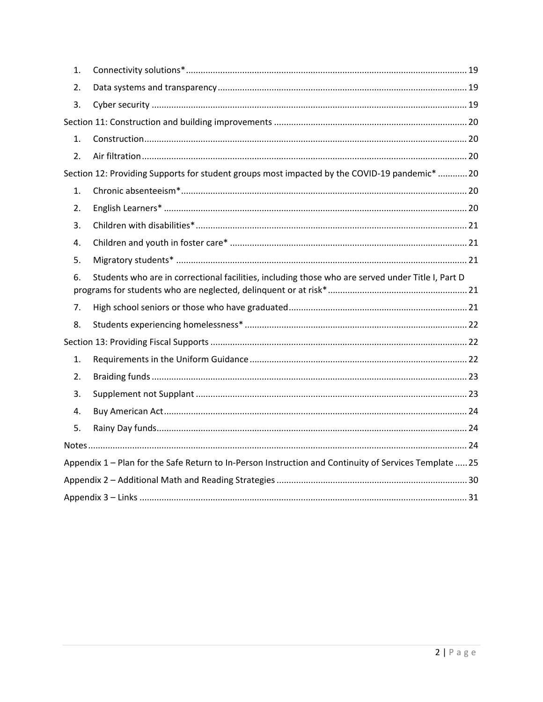| $\mathbf{1}$ . |                                                                                                        |  |
|----------------|--------------------------------------------------------------------------------------------------------|--|
| 2.             |                                                                                                        |  |
| 3.             |                                                                                                        |  |
|                |                                                                                                        |  |
| 1.             |                                                                                                        |  |
| 2.             |                                                                                                        |  |
|                | Section 12: Providing Supports for student groups most impacted by the COVID-19 pandemic*  20          |  |
| 1.             |                                                                                                        |  |
| 2.             |                                                                                                        |  |
| 3.             |                                                                                                        |  |
| 4.             |                                                                                                        |  |
| 5.             |                                                                                                        |  |
| 6.             | Students who are in correctional facilities, including those who are served under Title I, Part D      |  |
| 7.             |                                                                                                        |  |
| 8.             |                                                                                                        |  |
|                |                                                                                                        |  |
|                |                                                                                                        |  |
| 1.             |                                                                                                        |  |
| 2.             |                                                                                                        |  |
| 3.             |                                                                                                        |  |
| 4.             |                                                                                                        |  |
| 5.             |                                                                                                        |  |
|                |                                                                                                        |  |
|                | Appendix 1 - Plan for the Safe Return to In-Person Instruction and Continuity of Services Template  25 |  |
|                |                                                                                                        |  |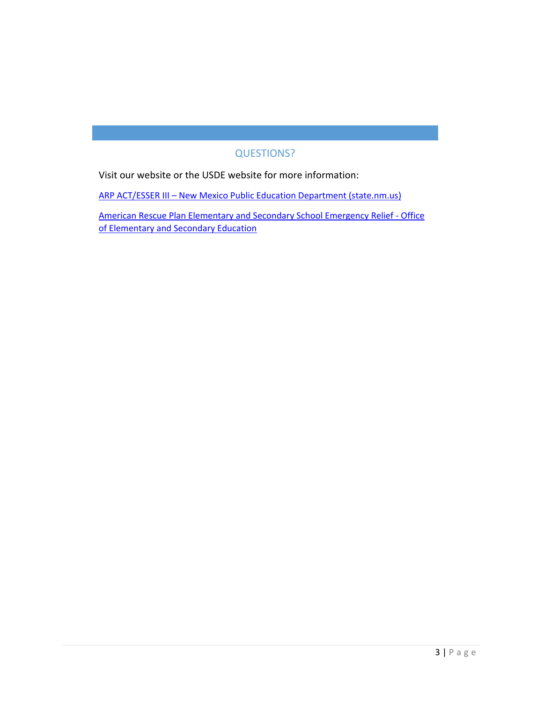## QUESTIONS?

Visit our website or the USDE website for more information:

ARP ACT/ESSER III – [New Mexico Public Education Department \(state.nm.us\)](https://webnew.ped.state.nm.us/bureaus/title-i/arp-act-esser-iii/)

[American Rescue Plan Elementary and Secondary School Emergency Relief -](https://oese.ed.gov/offices/american-rescue-plan/american-rescue-plan-elementary-and-secondary-school-emergency-relief/) Office [of Elementary and Secondary Education](https://oese.ed.gov/offices/american-rescue-plan/american-rescue-plan-elementary-and-secondary-school-emergency-relief/)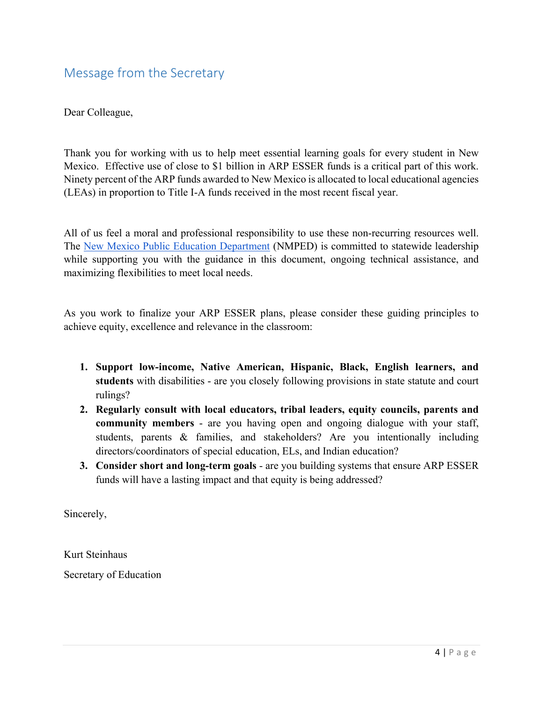<span id="page-4-0"></span>Dear Colleague,

Thank you for working with us to help meet essential learning goals for every student in New Mexico. Effective use of close to \$1 billion in ARP ESSER funds is a critical part of this work. Ninety percent of the ARP funds awarded to New Mexico is allocated to local educational agencies (LEAs) in proportion to Title I-A funds received in the most recent fiscal year.

All of us feel a moral and professional responsibility to use these non-recurring resources well. The [New Mexico Public Education Department](https://webnew.ped.state.nm.us/) (NMPED) is committed to statewide leadership while supporting you with the guidance in this document, ongoing technical assistance, and maximizing flexibilities to meet local needs.

As you work to finalize your ARP ESSER plans, please consider these guiding principles to achieve equity, excellence and relevance in the classroom:

- **1. Support low-income, Native American, Hispanic, Black, English learners, and students** with disabilities - are you closely following provisions in state statute and court rulings?
- **2. Regularly consult with local educators, tribal leaders, equity councils, parents and community members** - are you having open and ongoing dialogue with your staff, students, parents & families, and stakeholders? Are you intentionally including directors/coordinators of special education, ELs, and Indian education?
- **3. Consider short and long-term goals**  are you building systems that ensure ARP ESSER funds will have a lasting impact and that equity is being addressed?

Sincerely,

Kurt Steinhaus

Secretary of Education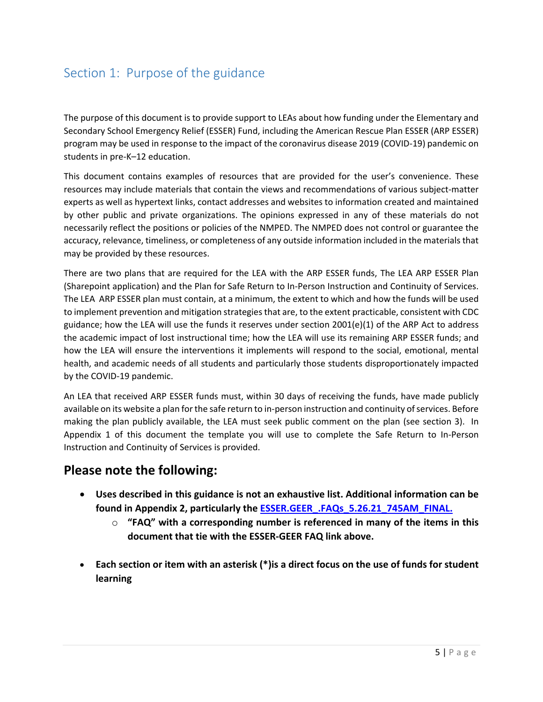## <span id="page-5-0"></span>Section 1: Purpose of the guidance

The purpose of this document is to provide support to LEAs about how funding under the Elementary and Secondary School Emergency Relief (ESSER) Fund, including the American Rescue Plan ESSER (ARP ESSER) program may be used in response to the impact of the coronavirus disease 2019 (COVID-19) pandemic on students in pre-K–12 education.

This document contains examples of resources that are provided for the user's convenience. These resources may include materials that contain the views and recommendations of various subject-matter experts as well as hypertext links, contact addresses and websites to information created and maintained by other public and private organizations. The opinions expressed in any of these materials do not necessarily reflect the positions or policies of the NMPED. The NMPED does not control or guarantee the accuracy, relevance, timeliness, or completeness of any outside information included in the materials that may be provided by these resources.

There are two plans that are required for the LEA with the ARP ESSER funds, The LEA ARP ESSER Plan (Sharepoint application) and the Plan for Safe Return to In-Person Instruction and Continuity of Services. The LEA ARP ESSER plan must contain, at a minimum, the extent to which and how the funds will be used to implement prevention and mitigation strategies that are, to the extent practicable, consistent with CDC guidance; how the LEA will use the funds it reserves under section 2001(e)(1) of the ARP Act to address the academic impact of lost instructional time; how the LEA will use its remaining ARP ESSER funds; and how the LEA will ensure the interventions it implements will respond to the social, emotional, mental health, and academic needs of all students and particularly those students disproportionately impacted by the COVID-19 pandemic.

An LEA that received ARP ESSER funds must, within 30 days of receiving the funds, have made publicly available on its website a plan for the safe return to in-person instruction and continuity of services. Before making the plan publicly available, the LEA must seek public comment on the plan (see section 3). In Appendix 1 of this document the template you will use to complete the Safe Return to In-Person Instruction and Continuity of Services is provided.

## **Please note the following:**

- **Uses described in this guidance is not an exhaustive list. Additional information can be found in Appendix 2, particularly the [ESSER.GEER\\_.FAQs\\_5.26.21\\_745AM\\_FINAL.](https://oese.ed.gov/files/2021/05/ESSER.GEER_.FAQs_5.26.21_745AM_FINALb0cd6833f6f46e03ba2d97d30aff953260028045f9ef3b18ea602db4b32b1d99.pdf)**
	- o **"FAQ" with a corresponding number is referenced in many of the items in this document that tie with the ESSER-GEER FAQ link above.**
- **Each section or item with an asterisk (\*)is a direct focus on the use of funds for student learning**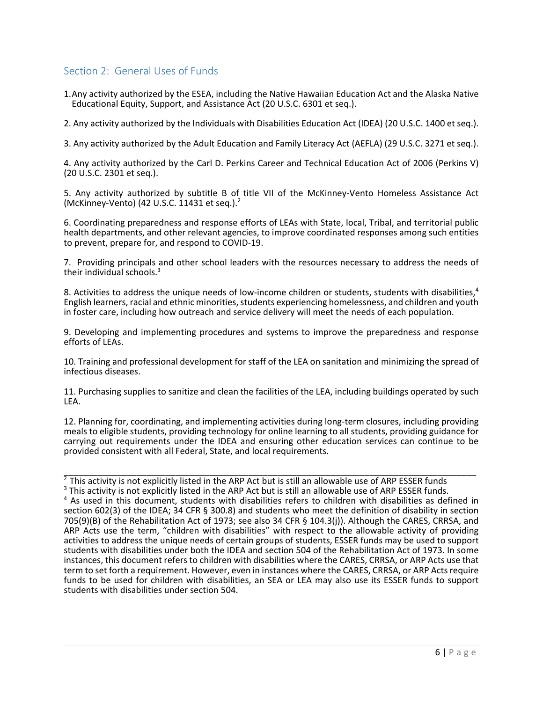#### <span id="page-6-0"></span>Section 2: General Uses of Funds

1.Any activity authorized by the ESEA, including the Native Hawaiian Education Act and the Alaska Native Educational Equity, Support, and Assistance Act (20 U.S.C. 6301 et seq.).

2. Any activity authorized by the Individuals with Disabilities Education Act (IDEA) (20 U.S.C. 1400 et seq.).

3. Any activity authorized by the Adult Education and Family Literacy Act (AEFLA) (29 U.S.C. 3271 et seq.).

4. Any activity authorized by the Carl D. Perkins Career and Technical Education Act of 2006 (Perkins V) (20 U.S.C. 2301 et seq.).

5. Any activity authorized by subtitle B of title VII of the McKinney-Vento Homeless Assistance Act (McKinney-Vento) (42 U.S.C. 11431 et seq.). $<sup>2</sup>$ </sup>

6. Coordinating preparedness and response efforts of LEAs with State, local, Tribal, and territorial public health departments, and other relevant agencies, to improve coordinated responses among such entities to prevent, prepare for, and respond to COVID-19.

7. Providing principals and other school leaders with the resources necessary to address the needs of their individual schools.<sup>3</sup>

8. Activities to address the unique needs of low-income children or students, students with disabilities,<sup>4</sup> English learners, racial and ethnic minorities, students experiencing homelessness, and children and youth in foster care, including how outreach and service delivery will meet the needs of each population.

9. Developing and implementing procedures and systems to improve the preparedness and response efforts of LEAs.

10. Training and professional development for staff of the LEA on sanitation and minimizing the spread of infectious diseases.

11. Purchasing supplies to sanitize and clean the facilities of the LEA, including buildings operated by such LEA.

12. Planning for, coordinating, and implementing activities during long-term closures, including providing meals to eligible students, providing technology for online learning to all students, providing guidance for carrying out requirements under the IDEA and ensuring other education services can continue to be provided consistent with all Federal, State, and local requirements.

\_\_\_\_\_\_\_\_\_\_\_\_\_\_\_\_\_\_\_\_\_\_\_\_\_\_\_\_\_\_\_\_\_\_\_\_\_\_\_\_\_\_\_\_\_\_\_\_\_\_\_\_\_\_\_\_\_\_\_\_\_\_\_\_\_\_\_\_\_\_\_\_\_\_\_\_\_\_\_\_\_\_\_\_\_

 $2$  This activity is not explicitly listed in the ARP Act but is still an allowable use of ARP ESSER funds

<sup>3</sup> This activity is not explicitly listed in the ARP Act but is still an allowable use of ARP ESSER funds. <sup>4</sup> As used in this document, students with disabilities refers to children with disabilities as defined in section 602(3) of the IDEA; 34 CFR § 300.8) and students who meet the definition of disability in section 705(9)(B) of the Rehabilitation Act of 1973; see also 34 CFR § 104.3(j)). Although the CARES, CRRSA, and ARP Acts use the term, "children with disabilities" with respect to the allowable activity of providing activities to address the unique needs of certain groups of students, ESSER funds may be used to support students with disabilities under both the IDEA and section 504 of the Rehabilitation Act of 1973. In some instances, this document refers to children with disabilities where the CARES, CRRSA, or ARP Acts use that term to set forth a requirement. However, even in instances where the CARES, CRRSA, or ARP Acts require funds to be used for children with disabilities, an SEA or LEA may also use its ESSER funds to support students with disabilities under section 504.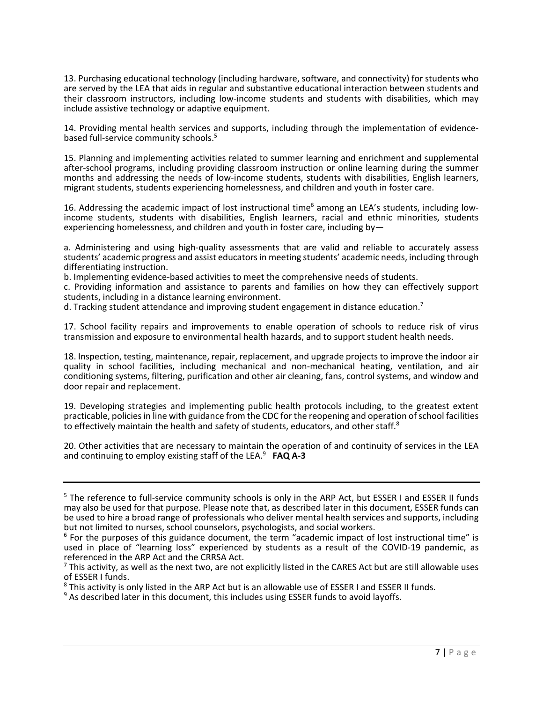13. Purchasing educational technology (including hardware, software, and connectivity) for students who are served by the LEA that aids in regular and substantive educational interaction between students and their classroom instructors, including low-income students and students with disabilities, which may include assistive technology or adaptive equipment.

14. Providing mental health services and supports, including through the implementation of evidencebased full-service community schools.<sup>5</sup>

15. Planning and implementing activities related to summer learning and enrichment and supplemental after-school programs, including providing classroom instruction or online learning during the summer months and addressing the needs of low-income students, students with disabilities, English learners, migrant students, students experiencing homelessness, and children and youth in foster care.

16. Addressing the academic impact of lost instructional time<sup>6</sup> among an LEA's students, including lowincome students, students with disabilities, English learners, racial and ethnic minorities, students experiencing homelessness, and children and youth in foster care, including by—

a. Administering and using high-quality assessments that are valid and reliable to accurately assess students' academic progress and assist educators in meeting students' academic needs, including through differentiating instruction.

b. Implementing evidence-based activities to meet the comprehensive needs of students.

c. Providing information and assistance to parents and families on how they can effectively support students, including in a distance learning environment.

d. Tracking student attendance and improving student engagement in distance education.<sup>7</sup>

17. School facility repairs and improvements to enable operation of schools to reduce risk of virus transmission and exposure to environmental health hazards, and to support student health needs.

18. Inspection, testing, maintenance, repair, replacement, and upgrade projects to improve the indoor air quality in school facilities, including mechanical and non-mechanical heating, ventilation, and air conditioning systems, filtering, purification and other air cleaning, fans, control systems, and window and door repair and replacement.

19. Developing strategies and implementing public health protocols including, to the greatest extent practicable, policies in line with guidance from the CDC for the reopening and operation of school facilities to effectively maintain the health and safety of students, educators, and other staff.<sup>8</sup>

20. Other activities that are necessary to maintain the operation of and continuity of services in the LEA and continuing to employ existing staff of the LEA.9 **FAQ A-3**

<sup>&</sup>lt;sup>5</sup> The reference to full-service community schools is only in the ARP Act, but ESSER I and ESSER II funds may also be used for that purpose. Please note that, as described later in this document, ESSER funds can be used to hire a broad range of professionals who deliver mental health services and supports, including but not limited to nurses, school counselors, psychologists, and social workers.

 $6$  For the purposes of this guidance document, the term "academic impact of lost instructional time" is used in place of "learning loss" experienced by students as a result of the COVID-19 pandemic, as referenced in the ARP Act and the CRRSA Act.

 $<sup>7</sup>$  This activity, as well as the next two, are not explicitly listed in the CARES Act but are still allowable uses</sup> of ESSER I funds.

<sup>&</sup>lt;sup>8</sup> This activity is only listed in the ARP Act but is an allowable use of ESSER I and ESSER II funds.

<sup>&</sup>lt;sup>9</sup> As described later in this document, this includes using ESSER funds to avoid layoffs.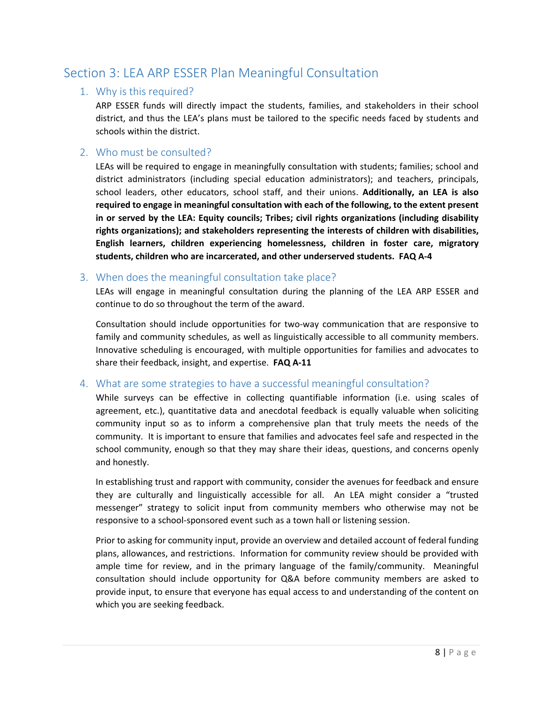## <span id="page-8-1"></span><span id="page-8-0"></span>Section 3: LEA ARP ESSER Plan Meaningful Consultation

#### 1. Why is this required?

ARP ESSER funds will directly impact the students, families, and stakeholders in their school district, and thus the LEA's plans must be tailored to the specific needs faced by students and schools within the district.

#### <span id="page-8-2"></span>2. Who must be consulted?

LEAs will be required to engage in meaningfully consultation with students; families; school and district administrators (including special education administrators); and teachers, principals, school leaders, other educators, school staff, and their unions. **Additionally, an LEA is also required to engage in meaningful consultation with each of the following, to the extent present in or served by the LEA: Equity councils; Tribes; civil rights organizations (including disability rights organizations); and stakeholders representing the interests of children with disabilities, English learners, children experiencing homelessness, children in foster care, migratory students, children who are incarcerated, and other underserved students. FAQ A-4**

#### <span id="page-8-3"></span>3. When does the meaningful consultation take place?

LEAs will engage in meaningful consultation during the planning of the LEA ARP ESSER and continue to do so throughout the term of the award.

Consultation should include opportunities for two-way communication that are responsive to family and community schedules, as well as linguistically accessible to all community members. Innovative scheduling is encouraged, with multiple opportunities for families and advocates to share their feedback, insight, and expertise. **FAQ A-11**

#### <span id="page-8-4"></span>4. What are some strategies to have a successful meaningful consultation?

While surveys can be effective in collecting quantifiable information (i.e. using scales of agreement, etc.), quantitative data and anecdotal feedback is equally valuable when soliciting community input so as to inform a comprehensive plan that truly meets the needs of the community. It is important to ensure that families and advocates feel safe and respected in the school community, enough so that they may share their ideas, questions, and concerns openly and honestly.

In establishing trust and rapport with community, consider the avenues for feedback and ensure they are culturally and linguistically accessible for all. An LEA might consider a "trusted messenger" strategy to solicit input from community members who otherwise may not be responsive to a school-sponsored event such as a town hall or listening session.

Prior to asking for community input, provide an overview and detailed account of federal funding plans, allowances, and restrictions. Information for community review should be provided with ample time for review, and in the primary language of the family/community. Meaningful consultation should include opportunity for Q&A before community members are asked to provide input, to ensure that everyone has equal access to and understanding of the content on which you are seeking feedback.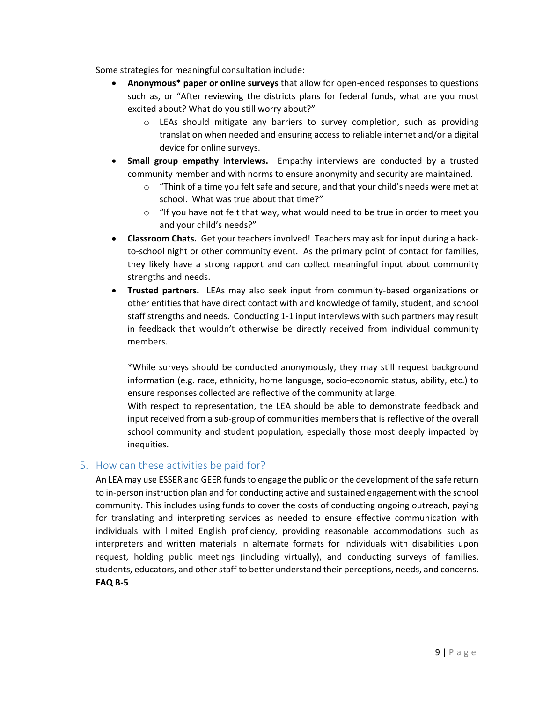Some strategies for meaningful consultation include:

- **Anonymous\* paper or online surveys** that allow for open-ended responses to questions such as, or "After reviewing the districts plans for federal funds, what are you most excited about? What do you still worry about?"
	- o LEAs should mitigate any barriers to survey completion, such as providing translation when needed and ensuring access to reliable internet and/or a digital device for online surveys.
- **Small group empathy interviews.** Empathy interviews are conducted by a trusted community member and with norms to ensure anonymity and security are maintained.
	- $\circ$  "Think of a time you felt safe and secure, and that your child's needs were met at school. What was true about that time?"
	- $\circ$  "If you have not felt that way, what would need to be true in order to meet you and your child's needs?"
- **Classroom Chats.** Get your teachers involved! Teachers may ask for input during a backto-school night or other community event. As the primary point of contact for families, they likely have a strong rapport and can collect meaningful input about community strengths and needs.
- **Trusted partners.** LEAs may also seek input from community-based organizations or other entities that have direct contact with and knowledge of family, student, and school staff strengths and needs. Conducting 1-1 input interviews with such partners may result in feedback that wouldn't otherwise be directly received from individual community members.

\*While surveys should be conducted anonymously, they may still request background information (e.g. race, ethnicity, home language, socio-economic status, ability, etc.) to ensure responses collected are reflective of the community at large.

With respect to representation, the LEA should be able to demonstrate feedback and input received from a sub-group of communities members that is reflective of the overall school community and student population, especially those most deeply impacted by inequities.

#### <span id="page-9-0"></span>5. How can these activities be paid for?

An LEA may use ESSER and GEER funds to engage the public on the development of the safe return to in-person instruction plan and for conducting active and sustained engagement with the school community. This includes using funds to cover the costs of conducting ongoing outreach, paying for translating and interpreting services as needed to ensure effective communication with individuals with limited English proficiency, providing reasonable accommodations such as interpreters and written materials in alternate formats for individuals with disabilities upon request, holding public meetings (including virtually), and conducting surveys of families, students, educators, and other staff to better understand their perceptions, needs, and concerns. **FAQ B-5**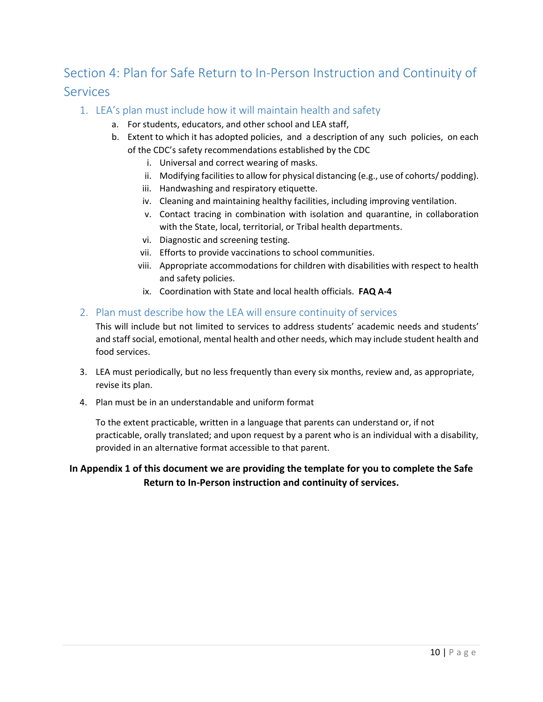# <span id="page-10-0"></span>Section 4: Plan for Safe Return to In-Person Instruction and Continuity of Services

- <span id="page-10-1"></span>1. LEA's plan must include how it will maintain health and safety
	- a. For students, educators, and other school and LEA staff,
	- b. Extent to which it has adopted policies, and a description of any such policies, on each of the CDC's safety recommendations established by the CDC
		- i. Universal and correct wearing of masks.
		- ii. Modifying facilities to allow for physical distancing (e.g., use of cohorts/ podding).
		- iii. Handwashing and respiratory etiquette.
		- iv. Cleaning and maintaining healthy facilities, including improving ventilation.
		- v. Contact tracing in combination with isolation and quarantine, in collaboration with the State, local, territorial, or Tribal health departments.
		- vi. Diagnostic and screening testing.
		- vii. Efforts to provide vaccinations to school communities.
		- viii. Appropriate accommodations for children with disabilities with respect to health and safety policies.
		- ix. Coordination with State and local health officials. **FAQ A-4**

#### <span id="page-10-2"></span>2. Plan must describe how the LEA will ensure continuity of services

This will include but not limited to services to address students' academic needs and students' and staff social, emotional, mental health and other needs, which may include student health and food services.

- 3. LEA must periodically, but no less frequently than every six months, review and, as appropriate, revise its plan.
- 4. Plan must be in an understandable and uniform format

To the extent practicable, written in a language that parents can understand or, if not practicable, orally translated; and upon request by a parent who is an individual with a disability, provided in an alternative format accessible to that parent.

#### **In Appendix 1 of this document we are providing the template for you to complete the Safe Return to In-Person instruction and continuity of services.**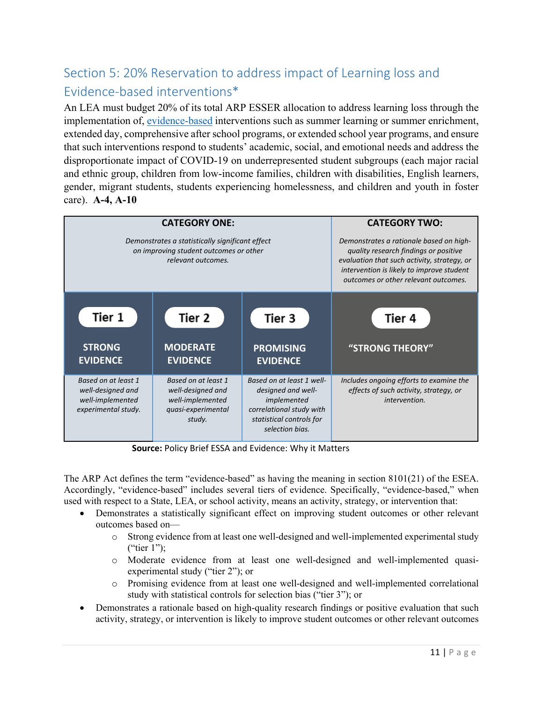# <span id="page-11-0"></span>Section 5: 20% Reservation to address impact of Learning loss and Evidence-based interventions\*

An LEA must budget 20% of its total ARP ESSER allocation to address learning loss through the implementation of, [evidence-based](https://ies.ed.gov/ncee/wwc/essa) interventions such as summer learning or summer enrichment, extended day, comprehensive after school programs, or extended school year programs, and ensure that such interventions respond to students' academic, social, and emotional needs and address the disproportionate impact of COVID-19 on underrepresented student subgroups (each major racial and ethnic group, children from low-income families, children with disabilities, English learners, gender, migrant students, students experiencing homelessness, and children and youth in foster care). **A-4, A-10**



**Source:** Policy Brief ESSA and Evidence: Why it Matters

The ARP Act defines the term "evidence-based" as having the meaning in section 8101(21) of the ESEA. Accordingly, "evidence-based" includes several tiers of evidence. Specifically, "evidence-based," when used with respect to a State, LEA, or school activity, means an activity, strategy, or intervention that:

- Demonstrates a statistically significant effect on improving student outcomes or other relevant outcomes based on
	- o Strong evidence from at least one well-designed and well-implemented experimental study ("tier 1");
	- o Moderate evidence from at least one well-designed and well-implemented quasiexperimental study ("tier 2"); or
	- o Promising evidence from at least one well-designed and well-implemented correlational study with statistical controls for selection bias ("tier 3"); or
- Demonstrates a rationale based on high-quality research findings or positive evaluation that such activity, strategy, or intervention is likely to improve student outcomes or other relevant outcomes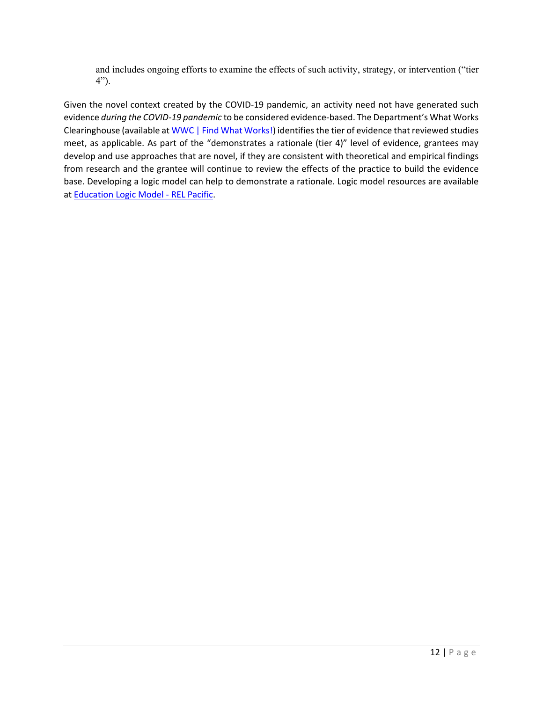and includes ongoing efforts to examine the effects of such activity, strategy, or intervention ("tier 4").

Given the novel context created by the COVID-19 pandemic, an activity need not have generated such evidence *during the COVID-19 pandemic* to be considered evidence-based. The Department's What Works Clearinghouse (available at [WWC | Find What Works!\)](https://ies.ed.gov/ncee/wwc/) identifies the tier of evidence that reviewed studies meet, as applicable. As part of the "demonstrates a rationale (tier 4)" level of evidence, grantees may develop and use approaches that are novel, if they are consistent with theoretical and empirical findings from research and the grantee will continue to review the effects of the practice to build the evidence base. Developing a logic model can help to demonstrate a rationale. Logic model resources are available at [Education Logic Model](https://ies.ed.gov/ncee/edlabs/regions/pacific/elm.asp) - REL Pacific.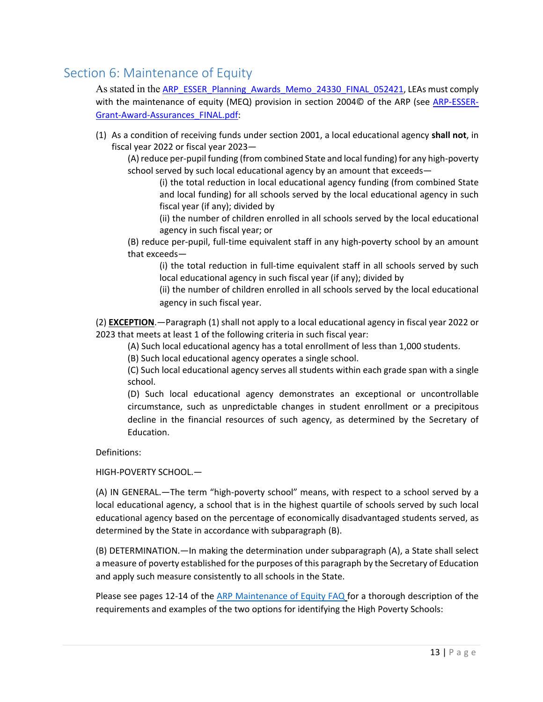## <span id="page-13-0"></span>Section 6: Maintenance of Equity

As stated in the [ARP\\_ESSER\\_Planning\\_Awards\\_Memo\\_24330\\_FINAL\\_052421,](https://webnew.ped.state.nm.us/wp-content/uploads/2021/05/ARP_ESSER_III_Planning_Awards_Memo_24330_FINAL_052421.pdf) LEAs must comply with the maintenance of equity (MEQ) provision in section 2004© of the ARP (see [ARP-ESSER-](https://oese.ed.gov/files/2021/03/ARP-ESSER-Grant-Award-Assurances_FINAL.pdf)[Grant-Award-Assurances\\_FINAL.pdf:](https://oese.ed.gov/files/2021/03/ARP-ESSER-Grant-Award-Assurances_FINAL.pdf)

(1) As a condition of receiving funds under section 2001, a local educational agency **shall not**, in fiscal year 2022 or fiscal year 2023—

(A) reduce per-pupil funding (from combined State and local funding) for any high-poverty school served by such local educational agency by an amount that exceeds—

(i) the total reduction in local educational agency funding (from combined State and local funding) for all schools served by the local educational agency in such fiscal year (if any); divided by

(ii) the number of children enrolled in all schools served by the local educational agency in such fiscal year; or

(B) reduce per-pupil, full-time equivalent staff in any high-poverty school by an amount that exceeds—

(i) the total reduction in full-time equivalent staff in all schools served by such local educational agency in such fiscal year (if any); divided by

(ii) the number of children enrolled in all schools served by the local educational agency in such fiscal year.

(2) **EXCEPTION**.—Paragraph (1) shall not apply to a local educational agency in fiscal year 2022 or 2023 that meets at least 1 of the following criteria in such fiscal year:

(A) Such local educational agency has a total enrollment of less than 1,000 students.

(B) Such local educational agency operates a single school.

(C) Such local educational agency serves all students within each grade span with a single school.

(D) Such local educational agency demonstrates an exceptional or uncontrollable circumstance, such as unpredictable changes in student enrollment or a precipitous decline in the financial resources of such agency, as determined by the Secretary of Education.

Definitions:

HIGH-POVERTY SCHOOL.—

(A) IN GENERAL.—The term "high-poverty school" means, with respect to a school served by a local educational agency, a school that is in the highest quartile of schools served by such local educational agency based on the percentage of economically disadvantaged students served, as determined by the State in accordance with subparagraph (B).

(B) DETERMINATION.—In making the determination under subparagraph (A), a State shall select a measure of poverty established for the purposes of this paragraph by the Secretary of Education and apply such measure consistently to all schools in the State.

Please see pages 12-14 of the [ARP Maintenance of Equity FAQ](https://oese.ed.gov/files/2021/08/Maintenance-of-Equity-updated-FAQs_final_08.06.2021.pdf) for a thorough description of the requirements and examples of the two options for identifying the High Poverty Schools: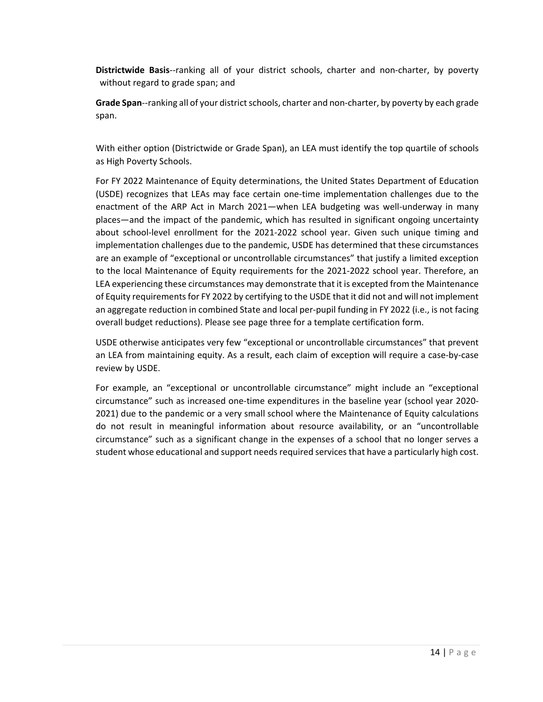**Districtwide Basis**--ranking all of your district schools, charter and non-charter, by poverty without regard to grade span; and

**Grade Span**--ranking all of your district schools, charter and non-charter, by poverty by each grade span.

With either option (Districtwide or Grade Span), an LEA must identify the top quartile of schools as High Poverty Schools.

For FY 2022 Maintenance of Equity determinations, the United States Department of Education (USDE) recognizes that LEAs may face certain one-time implementation challenges due to the enactment of the ARP Act in March 2021—when LEA budgeting was well-underway in many places—and the impact of the pandemic, which has resulted in significant ongoing uncertainty about school-level enrollment for the 2021-2022 school year. Given such unique timing and implementation challenges due to the pandemic, USDE has determined that these circumstances are an example of "exceptional or uncontrollable circumstances" that justify a limited exception to the local Maintenance of Equity requirements for the 2021-2022 school year. Therefore, an LEA experiencing these circumstances may demonstrate that it is excepted from the Maintenance of Equity requirements for FY 2022 by certifying to the USDE that it did not and will not implement an aggregate reduction in combined State and local per-pupil funding in FY 2022 (i.e., is not facing overall budget reductions). Please see page three for a template certification form.

USDE otherwise anticipates very few "exceptional or uncontrollable circumstances" that prevent an LEA from maintaining equity. As a result, each claim of exception will require a case-by-case review by USDE.

For example, an "exceptional or uncontrollable circumstance" might include an "exceptional circumstance" such as increased one-time expenditures in the baseline year (school year 2020- 2021) due to the pandemic or a very small school where the Maintenance of Equity calculations do not result in meaningful information about resource availability, or an "uncontrollable circumstance" such as a significant change in the expenses of a school that no longer serves a student whose educational and support needs required services that have a particularly high cost.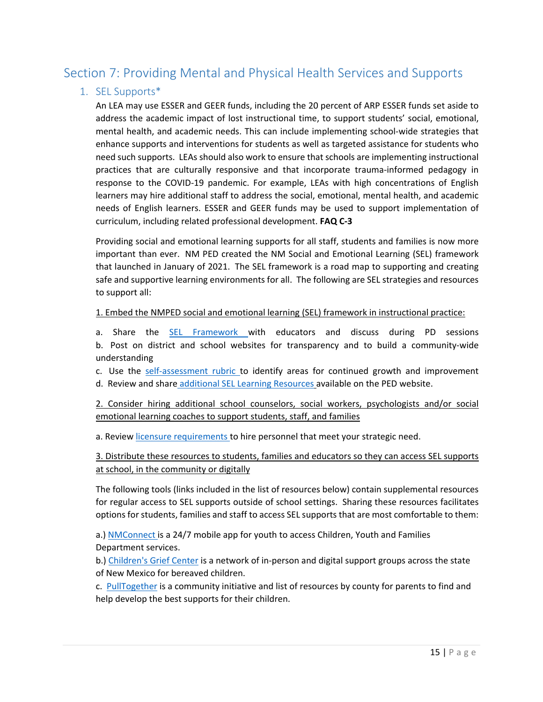## <span id="page-15-0"></span>Section 7: Providing Mental and Physical Health Services and Supports

#### <span id="page-15-1"></span>1. SEL Supports\*

An LEA may use ESSER and GEER funds, including the 20 percent of ARP ESSER funds set aside to address the academic impact of lost instructional time, to support students' social, emotional, mental health, and academic needs. This can include implementing school-wide strategies that enhance supports and interventions for students as well as targeted assistance for students who need such supports. LEAs should also work to ensure that schools are implementing instructional practices that are culturally responsive and that incorporate trauma-informed pedagogy in response to the COVID-19 pandemic. For example, LEAs with high concentrations of English learners may hire additional staff to address the social, emotional, mental health, and academic needs of English learners. ESSER and GEER funds may be used to support implementation of curriculum, including related professional development. **FAQ C-3**

Providing social and emotional learning supports for all staff, students and families is now more important than ever. NM PED created the NM Social and Emotional Learning (SEL) framework that launched in January of 2021. The SEL framework is a road map to supporting and creating safe and supportive learning environments for all. The following are SEL strategies and resources to support all:

#### 1. Embed the NMPED social and emotional learning (SEL) framework in instructional practice:

a. Share the [SEL Framework w](https://webnew.ped.state.nm.us/wp-content/uploads/2021/02/SHSB_NM.SEL_.Framework.document.1.7.21-002.pdf)ith educators and discuss during PD sessions b. Post on district and school websites for transparency and to build a community-wide understanding

c. Use the [self-assessment rubric t](https://webnew.ped.state.nm.us/wp-content/uploads/2021/02/SHSB_New-Mexicos-SEL-Framework-and-Assessment-Rubric.pdf)o identify areas for continued growth and improvement d. Review and share [additional SEL Learning Resources](https://webnew.ped.state.nm.us/bureaus/safe-healthy-schools/social-and-emotional-learning-sel/) available on the PED website.

2. Consider hiring additional school counselors, social workers, psychologists and/or social emotional learning coaches to support students, staff, and families

a. Review [licensure requirements t](https://webnew.ped.state.nm.us/bureaus/licensure/)o hire personnel that meet your strategic need.

3. Distribute these resources to students, families and educators so they can access SEL supports at school, in the community or digitally

The following tools (links included in the list of resources below) contain supplemental resources for regular access to SEL supports outside of school settings. Sharing these resources facilitates options for students, families and staff to access SEL supports that are most comfortable to them:

a.) [NMConnect i](https://www.newmexico.gov/2020/04/14/new-mexico-unveils-app-for-behavioral-health-support/)s a 24/7 mobile app for youth to access Children, Youth and Families Department services.

b.) [Children's Grief Center](https://childrensgrief.org/) is a network of in-person and digital support groups across the state of New Mexico for bereaved children.

c. [PullTogether](https://pulltogether.org/resources-by-county) is a community initiative and list of resources by county for parents to find and help develop the best supports for their children.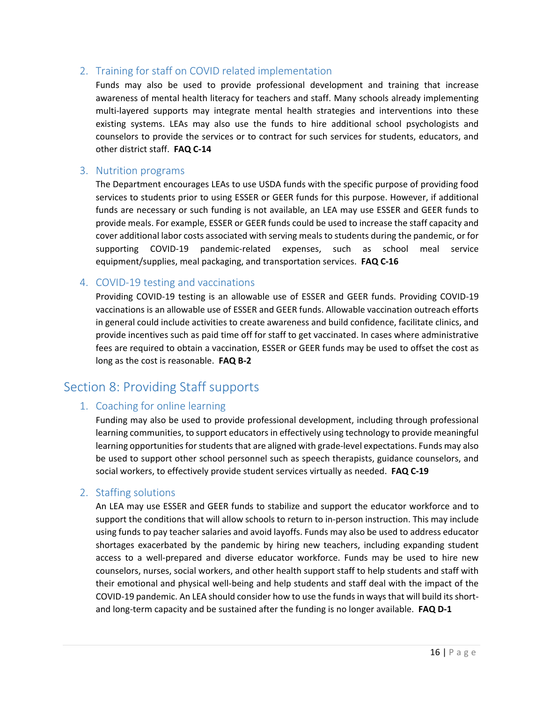#### <span id="page-16-0"></span>2. Training for staff on COVID related implementation

Funds may also be used to provide professional development and training that increase awareness of mental health literacy for teachers and staff. Many schools already implementing multi-layered supports may integrate mental health strategies and interventions into these existing systems. LEAs may also use the funds to hire additional school psychologists and counselors to provide the services or to contract for such services for students, educators, and other district staff. **FAQ C-14**

#### <span id="page-16-1"></span>3. Nutrition programs

The Department encourages LEAs to use USDA funds with the specific purpose of providing food services to students prior to using ESSER or GEER funds for this purpose. However, if additional funds are necessary or such funding is not available, an LEA may use ESSER and GEER funds to provide meals. For example, ESSER or GEER funds could be used to increase the staff capacity and cover additional labor costs associated with serving meals to students during the pandemic, or for supporting COVID-19 pandemic-related expenses, such as school meal service equipment/supplies, meal packaging, and transportation services. **FAQ C-16**

#### <span id="page-16-2"></span>4. COVID-19 testing and vaccinations

Providing COVID-19 testing is an allowable use of ESSER and GEER funds. Providing COVID-19 vaccinations is an allowable use of ESSER and GEER funds. Allowable vaccination outreach efforts in general could include activities to create awareness and build confidence, facilitate clinics, and provide incentives such as paid time off for staff to get vaccinated. In cases where administrative fees are required to obtain a vaccination, ESSER or GEER funds may be used to offset the cost as long as the cost is reasonable. **FAQ B-2**

## <span id="page-16-4"></span><span id="page-16-3"></span>Section 8: Providing Staff supports

#### 1. Coaching for online learning

Funding may also be used to provide professional development, including through professional learning communities, to support educators in effectively using technology to provide meaningful learning opportunities for students that are aligned with grade-level expectations. Funds may also be used to support other school personnel such as speech therapists, guidance counselors, and social workers, to effectively provide student services virtually as needed. **FAQ C-19**

#### <span id="page-16-5"></span>2. Staffing solutions

An LEA may use ESSER and GEER funds to stabilize and support the educator workforce and to support the conditions that will allow schools to return to in-person instruction. This may include using funds to pay teacher salaries and avoid layoffs. Funds may also be used to address educator shortages exacerbated by the pandemic by hiring new teachers, including expanding student access to a well-prepared and diverse educator workforce. Funds may be used to hire new counselors, nurses, social workers, and other health support staff to help students and staff with their emotional and physical well-being and help students and staff deal with the impact of the COVID-19 pandemic. An LEA should consider how to use the funds in ways that will build its shortand long-term capacity and be sustained after the funding is no longer available. **FAQ D-1**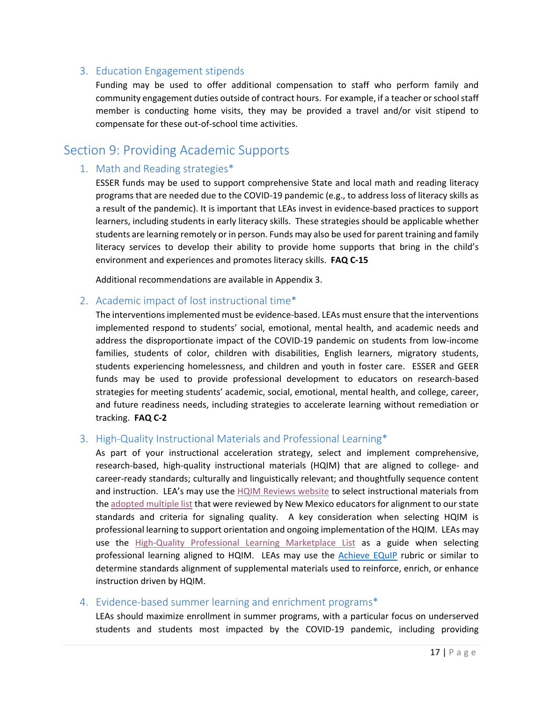#### <span id="page-17-0"></span>3. Education Engagement stipends

Funding may be used to offer additional compensation to staff who perform family and community engagement duties outside of contract hours. For example, if a teacher or school staff member is conducting home visits, they may be provided a travel and/or visit stipend to compensate for these out-of-school time activities.

## <span id="page-17-2"></span><span id="page-17-1"></span>Section 9: Providing Academic Supports

#### 1. Math and Reading strategies\*

ESSER funds may be used to support comprehensive State and local math and reading literacy programs that are needed due to the COVID-19 pandemic (e.g., to address loss of literacy skills as a result of the pandemic). It is important that LEAs invest in evidence-based practices to support learners, including students in early literacy skills. These strategies should be applicable whether students are learning remotely or in person. Funds may also be used for parent training and family literacy services to develop their ability to provide home supports that bring in the child's environment and experiences and promotes literacy skills. **FAQ C-15**

Additional recommendations are available in Appendix 3.

#### <span id="page-17-3"></span>2. Academic impact of lost instructional time\*

The interventions implemented must be evidence-based. LEAs must ensure that the interventions implemented respond to students' social, emotional, mental health, and academic needs and address the disproportionate impact of the COVID-19 pandemic on students from low-income families, students of color, children with disabilities, English learners, migratory students, students experiencing homelessness, and children and youth in foster care. ESSER and GEER funds may be used to provide professional development to educators on research-based strategies for meeting students' academic, social, emotional, mental health, and college, career, and future readiness needs, including strategies to accelerate learning without remediation or tracking. **FAQ C-2**

#### <span id="page-17-4"></span>3. High-Quality Instructional Materials and Professional Learning\*

As part of your instructional acceleration strategy, select and implement comprehensive, research-based, high-quality instructional materials (HQIM) that are aligned to college- and career-ready standards; culturally and linguistically relevant; and thoughtfully sequence content and instruction. LEA's may use the [HQIM Reviews website](https://webed.ped.state.nm.us/sites/HQIMReviews/SitePages/Home.aspx) to select instructional materials from the [adopted multiple list](https://webnew.ped.state.nm.us/bureaus/instructional-materials/the-adoption-cycle/) that were reviewed by New Mexico educators for alignment to our state standards and criteria for signaling quality. A key consideration when selecting HQIM is professional learning to support orientation and ongoing implementation of the HQIM. LEAs may use the [High-Quality Professional Learning Marketplace List](https://webnew.ped.state.nm.us/bureaus/professional-learning/) as a guide when selecting professional learning aligned to HQIM. LEAs may use the [Achieve EQuIP](https://www.achieve.org/our-initiatives/equip/equip) rubric or similar to determine standards alignment of supplemental materials used to reinforce, enrich, or enhance instruction driven by HQIM.

#### <span id="page-17-5"></span>4. Evidence-based summer learning and enrichment programs\*

LEAs should maximize enrollment in summer programs, with a particular focus on underserved students and students most impacted by the COVID-19 pandemic, including providing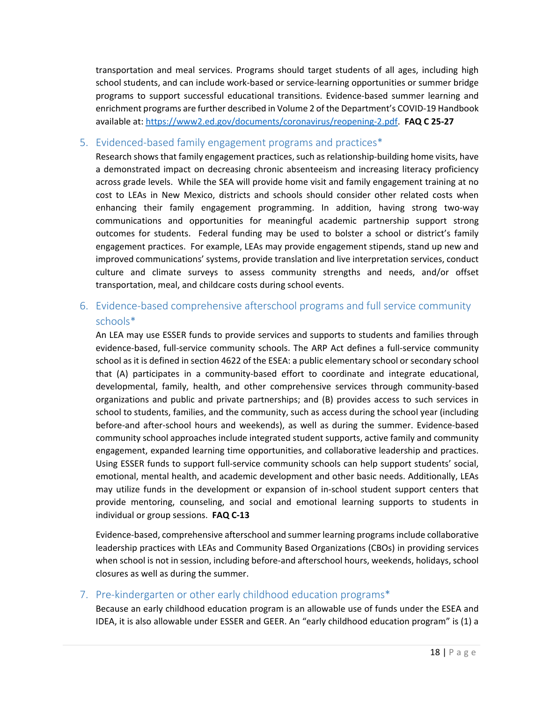transportation and meal services. Programs should target students of all ages, including high school students, and can include work-based or service-learning opportunities or summer bridge programs to support successful educational transitions. Evidence-based summer learning and enrichment programs are further described in Volume 2 of the Department's COVID-19 Handbook available at: [https://www2.ed.gov/documents/coronavirus/reopening-2.pdf.](https://www2.ed.gov/documents/coronavirus/reopening-2.pdf) **FAQ C 25-27**

#### <span id="page-18-0"></span>5. Evidenced-based family engagement programs and practices\*

Research shows that family engagement practices, such as relationship-building home visits, have a demonstrated impact on decreasing chronic absenteeism and increasing literacy proficiency across grade levels. While the SEA will provide home visit and family engagement training at no cost to LEAs in New Mexico, districts and schools should consider other related costs when enhancing their family engagement programming. In addition, having strong two-way communications and opportunities for meaningful academic partnership support strong outcomes for students. Federal funding may be used to bolster a school or district's family engagement practices. For example, LEAs may provide engagement stipends, stand up new and improved communications' systems, provide translation and live interpretation services, conduct culture and climate surveys to assess community strengths and needs, and/or offset transportation, meal, and childcare costs during school events.

## <span id="page-18-1"></span>6. Evidence-based comprehensive afterschool programs and full service community schools\*

An LEA may use ESSER funds to provide services and supports to students and families through evidence-based, full-service community schools. The ARP Act defines a full-service community school as it is defined in section 4622 of the ESEA: a public elementary school or secondary school that (A) participates in a community-based effort to coordinate and integrate educational, developmental, family, health, and other comprehensive services through community-based organizations and public and private partnerships; and (B) provides access to such services in school to students, families, and the community, such as access during the school year (including before-and after-school hours and weekends), as well as during the summer. Evidence-based community school approaches include integrated student supports, active family and community engagement, expanded learning time opportunities, and collaborative leadership and practices. Using ESSER funds to support full-service community schools can help support students' social, emotional, mental health, and academic development and other basic needs. Additionally, LEAs may utilize funds in the development or expansion of in-school student support centers that provide mentoring, counseling, and social and emotional learning supports to students in individual or group sessions. **FAQ C-13**

Evidence-based, comprehensive afterschool and summer learning programs include collaborative leadership practices with LEAs and Community Based Organizations (CBOs) in providing services when school is not in session, including before-and afterschool hours, weekends, holidays, school closures as well as during the summer.

#### <span id="page-18-2"></span>7. Pre-kindergarten or other early childhood education programs\*

Because an early childhood education program is an allowable use of funds under the ESEA and IDEA, it is also allowable under ESSER and GEER. An "early childhood education program" is (1) a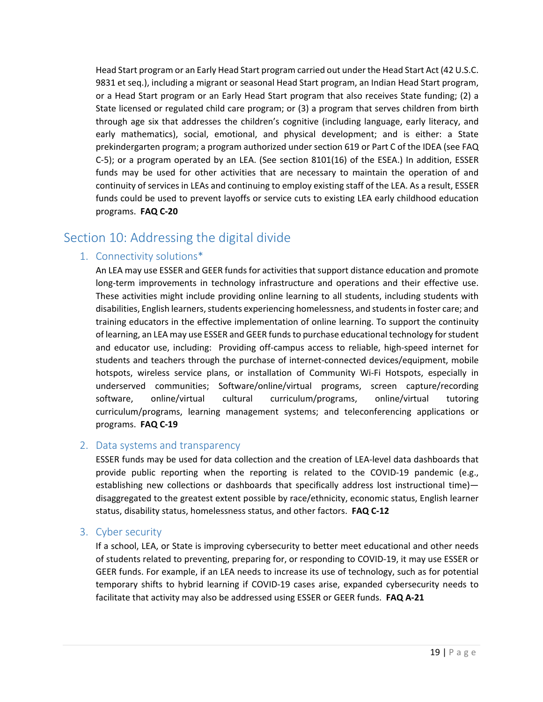Head Start program or an Early Head Start program carried out under the Head Start Act (42 U.S.C. 9831 et seq.), including a migrant or seasonal Head Start program, an Indian Head Start program, or a Head Start program or an Early Head Start program that also receives State funding; (2) a State licensed or regulated child care program; or (3) a program that serves children from birth through age six that addresses the children's cognitive (including language, early literacy, and early mathematics), social, emotional, and physical development; and is either: a State prekindergarten program; a program authorized under section 619 or Part C of the IDEA (see FAQ C-5); or a program operated by an LEA. (See section 8101(16) of the ESEA.) In addition, ESSER funds may be used for other activities that are necessary to maintain the operation of and continuity of services in LEAs and continuing to employ existing staff of the LEA. As a result, ESSER funds could be used to prevent layoffs or service cuts to existing LEA early childhood education programs. **FAQ C-20**

## <span id="page-19-1"></span><span id="page-19-0"></span>Section 10: Addressing the digital divide

#### 1. Connectivity solutions\*

An LEA may use ESSER and GEER funds for activities that support distance education and promote long-term improvements in technology infrastructure and operations and their effective use. These activities might include providing online learning to all students, including students with disabilities, English learners, students experiencing homelessness, and students in foster care; and training educators in the effective implementation of online learning. To support the continuity of learning, an LEA may use ESSER and GEER funds to purchase educational technology for student and educator use, including: Providing off-campus access to reliable, high-speed internet for students and teachers through the purchase of internet-connected devices/equipment, mobile hotspots, wireless service plans, or installation of Community Wi-Fi Hotspots, especially in underserved communities; Software/online/virtual programs, screen capture/recording software, online/virtual cultural curriculum/programs, online/virtual tutoring curriculum/programs, learning management systems; and teleconferencing applications or programs. **FAQ C-19**

#### <span id="page-19-2"></span>2. Data systems and transparency

ESSER funds may be used for data collection and the creation of LEA-level data dashboards that provide public reporting when the reporting is related to the COVID-19 pandemic (e.g., establishing new collections or dashboards that specifically address lost instructional time) disaggregated to the greatest extent possible by race/ethnicity, economic status, English learner status, disability status, homelessness status, and other factors. **FAQ C-12**

#### <span id="page-19-3"></span>3. Cyber security

If a school, LEA, or State is improving cybersecurity to better meet educational and other needs of students related to preventing, preparing for, or responding to COVID-19, it may use ESSER or GEER funds. For example, if an LEA needs to increase its use of technology, such as for potential temporary shifts to hybrid learning if COVID-19 cases arise, expanded cybersecurity needs to facilitate that activity may also be addressed using ESSER or GEER funds. **FAQ A-21**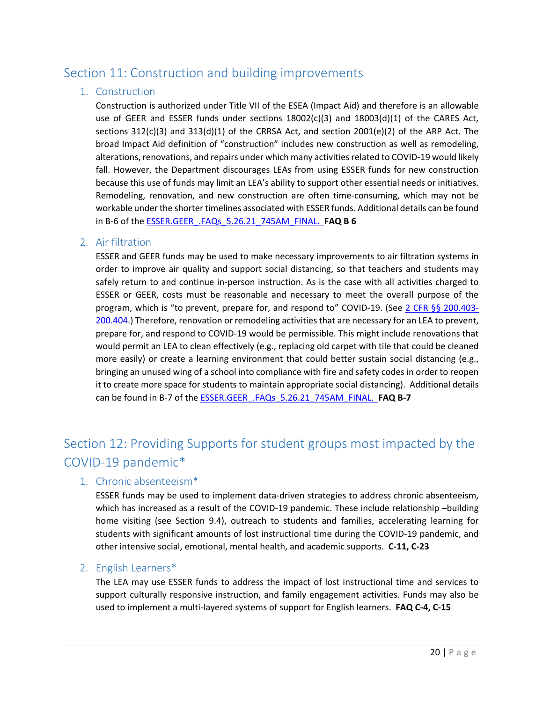## <span id="page-20-1"></span><span id="page-20-0"></span>Section 11: Construction and building improvements

#### 1. Construction

Construction is authorized under Title VII of the ESEA (Impact Aid) and therefore is an allowable use of GEER and ESSER funds under sections  $18002(c)(3)$  and  $18003(d)(1)$  of the CARES Act, sections  $312(c)(3)$  and  $313(d)(1)$  of the CRRSA Act, and section  $2001(e)(2)$  of the ARP Act. The broad Impact Aid definition of "construction" includes new construction as well as remodeling, alterations, renovations, and repairs under which many activities related to COVID-19 would likely fall. However, the Department discourages LEAs from using ESSER funds for new construction because this use of funds may limit an LEA's ability to support other essential needs or initiatives. Remodeling, renovation, and new construction are often time-consuming, which may not be workable under the shorter timelines associated with ESSER funds. Additional details can be found in B-6 of the [ESSER.GEER\\_.FAQs\\_5.26.21\\_745AM\\_FINAL.](https://oese.ed.gov/files/2021/05/ESSER.GEER_.FAQs_5.26.21_745AM_FINALb0cd6833f6f46e03ba2d97d30aff953260028045f9ef3b18ea602db4b32b1d99.pdf) **FAQ B 6**

#### <span id="page-20-2"></span>2. Air filtration

ESSER and GEER funds may be used to make necessary improvements to air filtration systems in order to improve air quality and support social distancing, so that teachers and students may safely return to and continue in-person instruction. As is the case with all activities charged to ESSER or GEER, costs must be reasonable and necessary to meet the overall purpose of the program, which is "to prevent, prepare for, and respond to" COVID-19. (See [2 CFR §§ 200.403-](https://ecfr.federalregister.gov/on/2021-03-31/title-2/subtitle-A/chapter-II/part-200/subpart-E) [200.404.](https://ecfr.federalregister.gov/on/2021-03-31/title-2/subtitle-A/chapter-II/part-200/subpart-E)) Therefore, renovation or remodeling activities that are necessary for an LEA to prevent, prepare for, and respond to COVID-19 would be permissible. This might include renovations that would permit an LEA to clean effectively (e.g., replacing old carpet with tile that could be cleaned more easily) or create a learning environment that could better sustain social distancing (e.g., bringing an unused wing of a school into compliance with fire and safety codes in order to reopen it to create more space for students to maintain appropriate social distancing). Additional details can be found in B-7 of the [ESSER.GEER\\_.FAQs\\_5.26.21\\_745AM\\_FINAL.](https://oese.ed.gov/files/2021/05/ESSER.GEER_.FAQs_5.26.21_745AM_FINALb0cd6833f6f46e03ba2d97d30aff953260028045f9ef3b18ea602db4b32b1d99.pdf) **FAQ B-7**

# <span id="page-20-3"></span>Section 12: Providing Supports for student groups most impacted by the COVID-19 pandemic\*

#### <span id="page-20-4"></span>1. Chronic absenteeism\*

ESSER funds may be used to implement data-driven strategies to address chronic absenteeism, which has increased as a result of the COVID-19 pandemic. These include relationship –building home visiting (see Section 9.4), outreach to students and families, accelerating learning for students with significant amounts of lost instructional time during the COVID-19 pandemic, and other intensive social, emotional, mental health, and academic supports. **C-11, C-23**

#### <span id="page-20-5"></span>2. English Learners\*

The LEA may use ESSER funds to address the impact of lost instructional time and services to support culturally responsive instruction, and family engagement activities. Funds may also be used to implement a multi-layered systems of support for English learners. **FAQ C-4, C-15**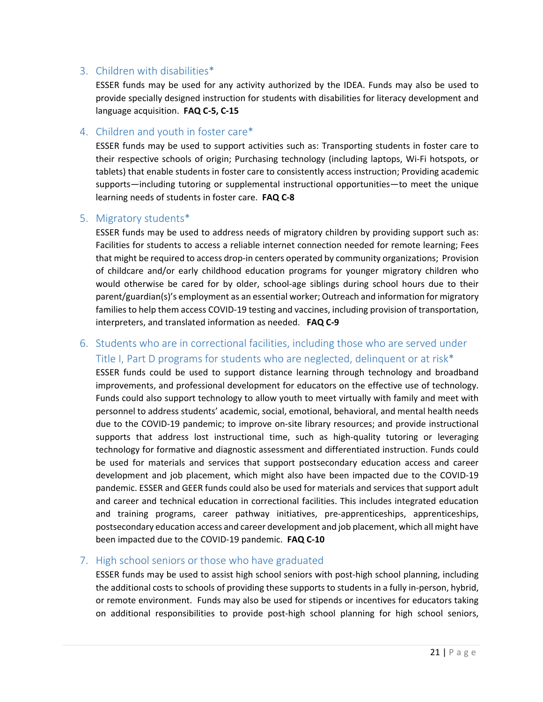#### <span id="page-21-0"></span>3. Children with disabilities\*

ESSER funds may be used for any activity authorized by the IDEA. Funds may also be used to provide specially designed instruction for students with disabilities for literacy development and language acquisition. **FAQ C-5, C-15**

#### <span id="page-21-1"></span>4. Children and youth in foster care\*

ESSER funds may be used to support activities such as: Transporting students in foster care to their respective schools of origin; Purchasing technology (including laptops, Wi-Fi hotspots, or tablets) that enable students in foster care to consistently access instruction; Providing academic supports—including tutoring or supplemental instructional opportunities—to meet the unique learning needs of students in foster care. **FAQ C-8**

#### <span id="page-21-2"></span>5. Migratory students\*

ESSER funds may be used to address needs of migratory children by providing support such as: Facilities for students to access a reliable internet connection needed for remote learning; Fees that might be required to access drop-in centers operated by community organizations; Provision of childcare and/or early childhood education programs for younger migratory children who would otherwise be cared for by older, school-age siblings during school hours due to their parent/guardian(s)'s employment as an essential worker; Outreach and information for migratory families to help them access COVID-19 testing and vaccines, including provision of transportation, interpreters, and translated information as needed. **FAQ C-9**

## <span id="page-21-3"></span>6. Students who are in correctional facilities, including those who are served under Title I, Part D programs for students who are neglected, delinquent or at risk\*

ESSER funds could be used to support distance learning through technology and broadband improvements, and professional development for educators on the effective use of technology. Funds could also support technology to allow youth to meet virtually with family and meet with personnel to address students' academic, social, emotional, behavioral, and mental health needs due to the COVID-19 pandemic; to improve on-site library resources; and provide instructional supports that address lost instructional time, such as high-quality tutoring or leveraging technology for formative and diagnostic assessment and differentiated instruction. Funds could be used for materials and services that support postsecondary education access and career development and job placement, which might also have been impacted due to the COVID-19 pandemic. ESSER and GEER funds could also be used for materials and services that support adult and career and technical education in correctional facilities. This includes integrated education and training programs, career pathway initiatives, pre-apprenticeships, apprenticeships, postsecondary education access and career development and job placement, which all might have been impacted due to the COVID-19 pandemic. **FAQ C-10**

#### <span id="page-21-4"></span>7. High school seniors or those who have graduated

ESSER funds may be used to assist high school seniors with post-high school planning, including the additional costs to schools of providing these supports to students in a fully in-person, hybrid, or remote environment. Funds may also be used for stipends or incentives for educators taking on additional responsibilities to provide post-high school planning for high school seniors,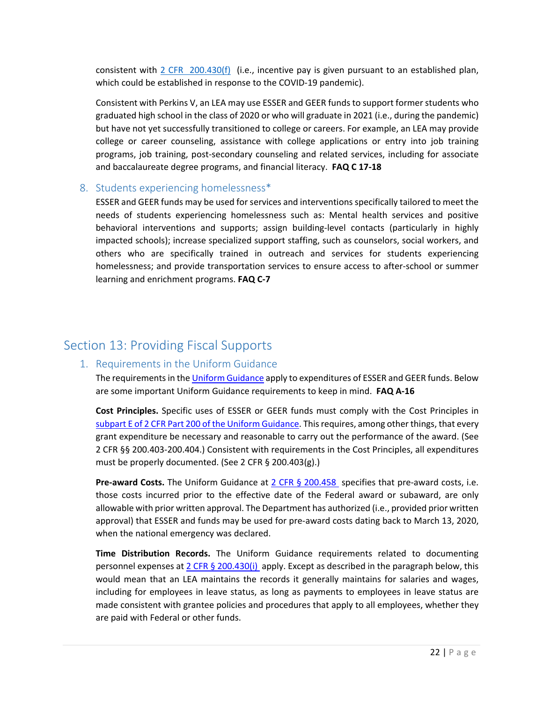consistent with [2 CFR 200.430\(f\)](https://ecfr.federalregister.gov/on/2021-03-31/title-2/subtitle-A/chapter-II/part-200/subpart-E%23p-200.430(f)) (i.e., incentive pay is given pursuant to an established plan, which could be established in response to the COVID-19 pandemic).

Consistent with Perkins V, an LEA may use ESSER and GEER funds to support former students who graduated high school in the class of 2020 or who will graduate in 2021 (i.e., during the pandemic) but have not yet successfully transitioned to college or careers. For example, an LEA may provide college or career counseling, assistance with college applications or entry into job training programs, job training, post-secondary counseling and related services, including for associate and baccalaureate degree programs, and financial literacy. **FAQ C 17-18**

#### <span id="page-22-0"></span>8. Students experiencing homelessness\*

ESSER and GEER funds may be used for services and interventions specifically tailored to meet the needs of students experiencing homelessness such as: Mental health services and positive behavioral interventions and supports; assign building-level contacts (particularly in highly impacted schools); increase specialized support staffing, such as counselors, social workers, and others who are specifically trained in outreach and services for students experiencing homelessness; and provide transportation services to ensure access to after-school or summer learning and enrichment programs. **FAQ C-7**

## <span id="page-22-2"></span><span id="page-22-1"></span>Section 13: Providing Fiscal Supports

#### 1. Requirements in the Uniform Guidance

The requirements in th[e Uniform Guidance](https://ecfr.federalregister.gov/on/2021-03-31/title-2/subtitle-A/chapter-II/part-200) apply to expenditures of ESSER and GEER funds. Below are some important Uniform Guidance requirements to keep in mind. **FAQ A-16**

**Cost Principles.** Specific uses of ESSER or GEER funds must comply with the Cost Principles in [subpart E of 2 CFR Part 200 of the Uniform Guidance.](https://ecfr.federalregister.gov/on/2021-03-31/title-2/subtitle-A/chapter-II/part-200/subpart-E) This requires, among other things, that every grant expenditure be necessary and reasonable to carry out the performance of the award. (See 2 CFR §§ 200.403-200.404.) Consistent with requirements in the Cost Principles, all expenditures must be properly documented. (See 2 CFR § 200.403(g).)

**Pre-award Costs.** The Uniform Guidance at [2 CFR § 200.458](https://www.ecfr.gov/cgi-bin/text-idx?SID=c3177857cee8ebceb302215153fd1f73&node=se2.1.200_1458&rgn=div8) specifies that pre-award costs, i.e. those costs incurred prior to the effective date of the Federal award or subaward, are only allowable with prior written approval. The Department has authorized (i.e., provided prior written approval) that ESSER and funds may be used for pre-award costs dating back to March 13, 2020, when the national emergency was declared.

**Time Distribution Records.** The Uniform Guidance requirements related to documenting personnel expenses at [2 CFR § 200.430\(i\)](https://ecfr.federalregister.gov/on/2021-03-31/title-2/subtitle-A/chapter-II/part-200/subpart-E#p-200.430(i)) apply. Except as described in the paragraph below, this would mean that an LEA maintains the records it generally maintains for salaries and wages, including for employees in leave status, as long as payments to employees in leave status are made consistent with grantee policies and procedures that apply to all employees, whether they are paid with Federal or other funds.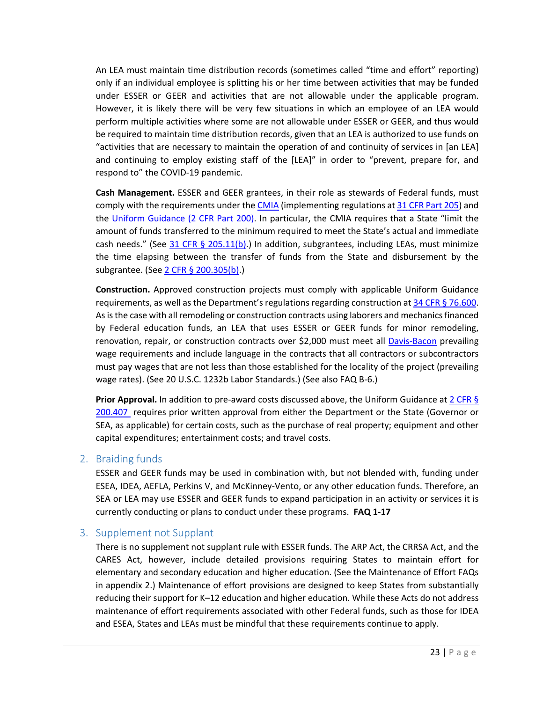An LEA must maintain time distribution records (sometimes called "time and effort" reporting) only if an individual employee is splitting his or her time between activities that may be funded under ESSER or GEER and activities that are not allowable under the applicable program. However, it is likely there will be very few situations in which an employee of an LEA would perform multiple activities where some are not allowable under ESSER or GEER, and thus would be required to maintain time distribution records, given that an LEA is authorized to use funds on "activities that are necessary to maintain the operation of and continuity of services in [an LEA] and continuing to employ existing staff of the [LEA]" in order to "prevent, prepare for, and respond to" the COVID-19 pandemic.

**Cash Management.** ESSER and GEER grantees, in their role as stewards of Federal funds, must comply with the requirements under the [CMIA](https://www.govinfo.gov/content/pkg/STATUTE-104/pdf/STATUTE-104-Pg1058.pdf) (implementing regulations at [31 CFR Part 205\)](https://ecfr.federalregister.gov/current/title-31/subtitle-B/chapter-II/subchapter-A/part-205) and the [Uniform Guidance \(2 CFR Part 200\).](https://ecfr.federalregister.gov/on/2021-03-31/title-2/subtitle-A/chapter-II/part-200) In particular, the CMIA requires that a State "limit the amount of funds transferred to the minimum required to meet the State's actual and immediate cash needs." (See [31 CFR § 205.11\(b\).](https://ecfr.federalregister.gov/current/title-31/subtitle-B/chapter-II/subchapter-A/part-205)) In addition, subgrantees, including LEAs, must minimize the time elapsing between the transfer of funds from the State and disbursement by the subgrantee. (Se[e 2 CFR § 200.305\(b\).](https://ecfr.federalregister.gov/current/title-2/subtitle-A/chapter-II/part-200#section-200.305))

**Construction.** Approved construction projects must comply with applicable Uniform Guidance requirements, as well as the Department's regulations regarding construction a[t 34 CFR § 76.600.](https://ecfr.federalregister.gov/current/title-34/subtitle-A/part-76/subpart-F/subject-group-ECFR0c65e40eca00876/section-76.600) As is the case with all remodeling or construction contracts using laborers and mechanics financed by Federal education funds, an LEA that uses ESSER or GEER funds for minor remodeling, renovation, repair, or construction contracts over \$2,000 must meet all [Davis-Bacon](https://www.dol.gov/agencies/whd/government-contracts/construction) prevailing wage requirements and include language in the contracts that all contractors or subcontractors must pay wages that are not less than those established for the locality of the project (prevailing wage rates). (See 20 U.S.C. 1232b Labor Standards.) (See also FAQ B-6.)

**Prior Approval.** In addition to pre-award costs discussed above, the Uniform Guidance at [2 CFR §](https://ecfr.federalregister.gov/current/title-2/subtitle-A/chapter-II/part-200/subpart-E/subject-group-ECFRea20080eff2ea53/section-200.407)  [200.407](https://ecfr.federalregister.gov/current/title-2/subtitle-A/chapter-II/part-200/subpart-E/subject-group-ECFRea20080eff2ea53/section-200.407) requires prior written approval from either the Department or the State (Governor or SEA, as applicable) for certain costs, such as the purchase of real property; equipment and other capital expenditures; entertainment costs; and travel costs.

#### <span id="page-23-0"></span>2. Braiding funds

ESSER and GEER funds may be used in combination with, but not blended with, funding under ESEA, IDEA, AEFLA, Perkins V, and McKinney-Vento, or any other education funds. Therefore, an SEA or LEA may use ESSER and GEER funds to expand participation in an activity or services it is currently conducting or plans to conduct under these programs. **FAQ 1-17**

#### <span id="page-23-1"></span>3. Supplement not Supplant

There is no supplement not supplant rule with ESSER funds. The ARP Act, the CRRSA Act, and the CARES Act, however, include detailed provisions requiring States to maintain effort for elementary and secondary education and higher education. (See the Maintenance of Effort FAQs in appendix 2.) Maintenance of effort provisions are designed to keep States from substantially reducing their support for K–12 education and higher education. While these Acts do not address maintenance of effort requirements associated with other Federal funds, such as those for IDEA and ESEA, States and LEAs must be mindful that these requirements continue to apply.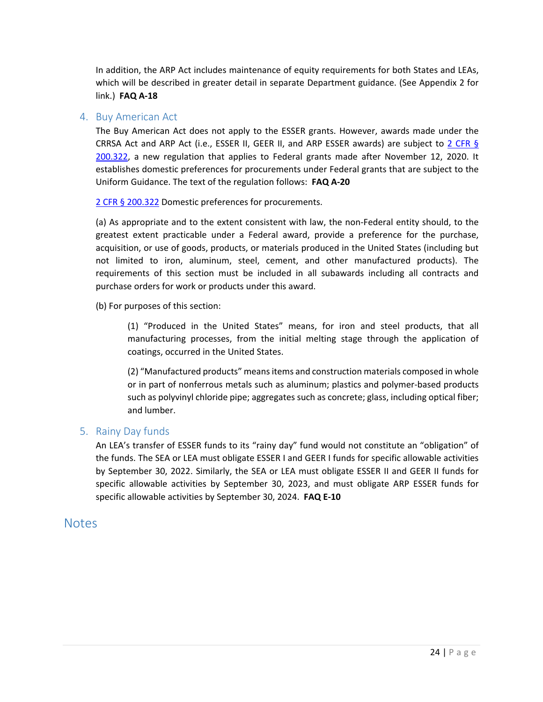In addition, the ARP Act includes maintenance of equity requirements for both States and LEAs, which will be described in greater detail in separate Department guidance. (See Appendix 2 for link.) **FAQ A-18**

#### <span id="page-24-0"></span>4. Buy American Act

The Buy American Act does not apply to the ESSER grants. However, awards made under the CRRSA Act and ARP Act (i.e., ESSER II, GEER II, and ARP ESSER awards) are subject to [2 CFR §](https://ecfr.federalregister.gov/on/2021-03-31/title-2/subtitle-A/chapter-II/part-200/subpart-D#section-200.322)  [200.322,](https://ecfr.federalregister.gov/on/2021-03-31/title-2/subtitle-A/chapter-II/part-200/subpart-D#section-200.322) a new regulation that applies to Federal grants made after November 12, 2020. It establishes domestic preferences for procurements under Federal grants that are subject to the Uniform Guidance. The text of the regulation follows: **FAQ A-20**

[2 CFR § 200.322](https://ecfr.federalregister.gov/on/2021-03-31/title-2/subtitle-A/chapter-II/part-200/subpart-D#section-200.322) Domestic preferences for procurements.

(a) As appropriate and to the extent consistent with law, the non-Federal entity should, to the greatest extent practicable under a Federal award, provide a preference for the purchase, acquisition, or use of goods, products, or materials produced in the United States (including but not limited to iron, aluminum, steel, cement, and other manufactured products). The requirements of this section must be included in all subawards including all contracts and purchase orders for work or products under this award.

(b) For purposes of this section:

(1) "Produced in the United States" means, for iron and steel products, that all manufacturing processes, from the initial melting stage through the application of coatings, occurred in the United States.

(2) "Manufactured products" means items and construction materials composed in whole or in part of nonferrous metals such as aluminum; plastics and polymer-based products such as polyvinyl chloride pipe; aggregates such as concrete; glass, including optical fiber; and lumber.

#### <span id="page-24-1"></span>5. Rainy Day funds

An LEA's transfer of ESSER funds to its "rainy day" fund would not constitute an "obligation" of the funds. The SEA or LEA must obligate ESSER I and GEER I funds for specific allowable activities by September 30, 2022. Similarly, the SEA or LEA must obligate ESSER II and GEER II funds for specific allowable activities by September 30, 2023, and must obligate ARP ESSER funds for specific allowable activities by September 30, 2024. **FAQ E-10**

#### <span id="page-24-2"></span>**Notes**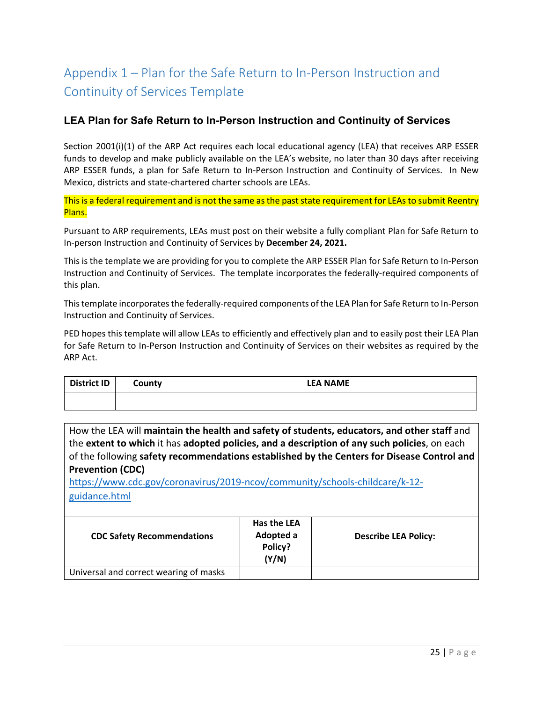# <span id="page-25-0"></span>Appendix 1 – Plan for the Safe Return to In-Person Instruction and Continuity of Services Template

#### **LEA Plan for Safe Return to In-Person Instruction and Continuity of Services**

Section 2001(i)(1) of the ARP Act requires each local educational agency (LEA) that receives ARP ESSER funds to develop and make publicly available on the LEA's website, no later than 30 days after receiving ARP ESSER funds, a plan for Safe Return to In-Person Instruction and Continuity of Services. In New Mexico, districts and state-chartered charter schools are LEAs.

This is a federal requirement and is not the same as the past state requirement for LEAs to submit Reentry Plans.

Pursuant to ARP requirements, LEAs must post on their website a fully compliant Plan for Safe Return to In-person Instruction and Continuity of Services by **December 24, 2021.**

This is the template we are providing for you to complete the ARP ESSER Plan for Safe Return to In-Person Instruction and Continuity of Services. The template incorporates the federally-required components of this plan.

This template incorporates the federally-required components of the LEA Plan for Safe Return to In-Person Instruction and Continuity of Services.

PED hopes this template will allow LEAs to efficiently and effectively plan and to easily post their LEA Plan for Safe Return to In-Person Instruction and Continuity of Services on their websites as required by the ARP Act.

| <b>District ID</b> | County | <b>LEA NAME</b> |
|--------------------|--------|-----------------|
|                    |        |                 |

How the LEA will **maintain the health and safety of students, educators, and other staff** and the **extent to which** it has **adopted policies, and a description of any such policies**, on each of the following **safety recommendations established by the Centers for Disease Control and Prevention (CDC)**

[https://www.cdc.gov/coronavirus/2019-ncov/community/schools-childcare/k-12](https://www.cdc.gov/coronavirus/2019-ncov/community/schools-childcare/k-12-guidance.html) [guidance.html](https://www.cdc.gov/coronavirus/2019-ncov/community/schools-childcare/k-12-guidance.html)

| <b>CDC Safety Recommendations</b>      | Has the LEA<br>Adopted a<br>Policy?<br>(Y/N) | <b>Describe LEA Policy:</b> |
|----------------------------------------|----------------------------------------------|-----------------------------|
| Universal and correct wearing of masks |                                              |                             |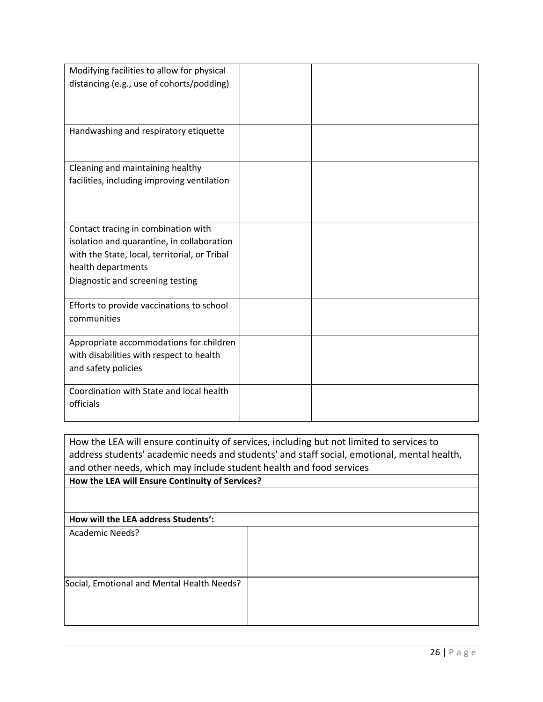| Modifying facilities to allow for physical    |  |
|-----------------------------------------------|--|
| distancing (e.g., use of cohorts/podding)     |  |
|                                               |  |
|                                               |  |
|                                               |  |
| Handwashing and respiratory etiquette         |  |
|                                               |  |
|                                               |  |
| Cleaning and maintaining healthy              |  |
| facilities, including improving ventilation   |  |
|                                               |  |
|                                               |  |
|                                               |  |
| Contact tracing in combination with           |  |
|                                               |  |
| isolation and quarantine, in collaboration    |  |
| with the State, local, territorial, or Tribal |  |
| health departments                            |  |
| Diagnostic and screening testing              |  |
|                                               |  |
| Efforts to provide vaccinations to school     |  |
| communities                                   |  |
|                                               |  |
| Appropriate accommodations for children       |  |
| with disabilities with respect to health      |  |
| and safety policies                           |  |
|                                               |  |
| Coordination with State and local health      |  |
| officials                                     |  |
|                                               |  |
|                                               |  |

How the LEA will ensure continuity of services, including but not limited to services to address students' academic needs and students' and staff social, emotional, mental health, and other needs, which may include student health and food services **How the LEA will Ensure Continuity of Services?** 

| How will the LEA address Students':        |  |
|--------------------------------------------|--|
| <b>Academic Needs?</b>                     |  |
|                                            |  |
|                                            |  |
|                                            |  |
| Social, Emotional and Mental Health Needs? |  |
|                                            |  |
|                                            |  |
|                                            |  |
|                                            |  |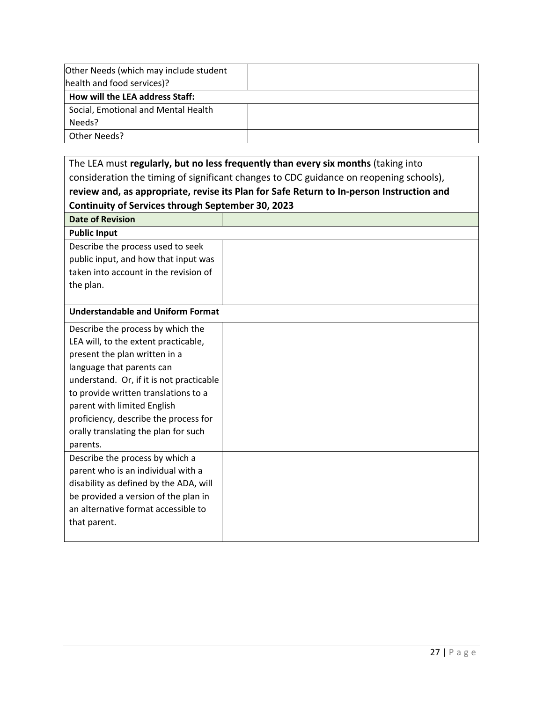| Other Needs (which may include student |  |
|----------------------------------------|--|
| health and food services)?             |  |
| How will the LEA address Staff:        |  |
| Social, Emotional and Mental Health    |  |
| Needs?                                 |  |
| Other Needs?                           |  |

| The LEA must regularly, but no less frequently than every six months (taking into        |  |  |  |
|------------------------------------------------------------------------------------------|--|--|--|
| consideration the timing of significant changes to CDC guidance on reopening schools),   |  |  |  |
| review and, as appropriate, revise its Plan for Safe Return to In-person Instruction and |  |  |  |
| <b>Continuity of Services through September 30, 2023</b>                                 |  |  |  |
| <b>Date of Revision</b>                                                                  |  |  |  |
| <b>Public Input</b>                                                                      |  |  |  |
| Describe the process used to seek                                                        |  |  |  |
| public input, and how that input was                                                     |  |  |  |
| taken into account in the revision of                                                    |  |  |  |
| the plan.                                                                                |  |  |  |
|                                                                                          |  |  |  |
| <b>Understandable and Uniform Format</b>                                                 |  |  |  |
| Describe the process by which the                                                        |  |  |  |
| LEA will, to the extent practicable,                                                     |  |  |  |
| present the plan written in a                                                            |  |  |  |
| language that parents can                                                                |  |  |  |
| understand. Or, if it is not practicable                                                 |  |  |  |
| to provide written translations to a                                                     |  |  |  |
| parent with limited English                                                              |  |  |  |
| proficiency, describe the process for                                                    |  |  |  |
| orally translating the plan for such                                                     |  |  |  |
| parents.                                                                                 |  |  |  |
| Describe the process by which a                                                          |  |  |  |
| parent who is an individual with a                                                       |  |  |  |
| disability as defined by the ADA, will                                                   |  |  |  |
| be provided a version of the plan in                                                     |  |  |  |
| an alternative format accessible to                                                      |  |  |  |
| that parent.                                                                             |  |  |  |
|                                                                                          |  |  |  |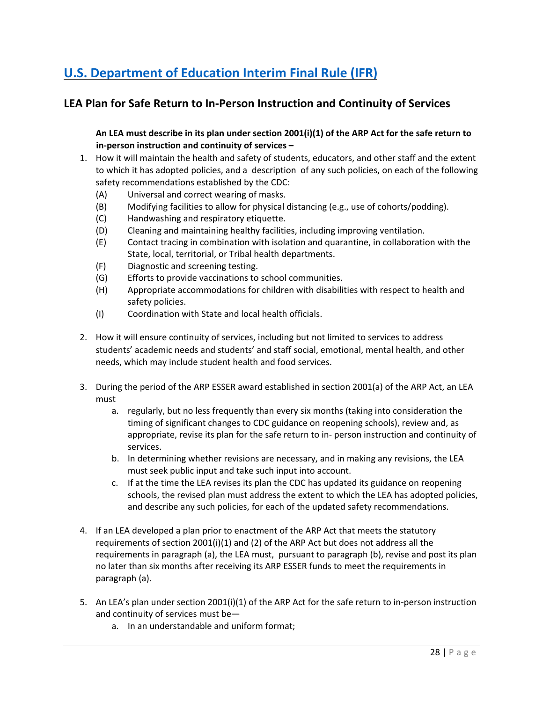# **[U.S. Department of Education Interim Final Rule \(IFR\)](https://www.govinfo.gov/content/pkg/FR-2021-04-22/pdf/2021-08359.pdf)**

## **LEA Plan for Safe Return to In-Person Instruction and Continuity of Services**

**An LEA must describe in its plan under section 2001(i)(1) of the ARP Act for the safe return to in-person instruction and continuity of services –**

- 1. How it will maintain the health and safety of students, educators, and other staff and the extent to which it has adopted policies, and a description of any such policies, on each of the following safety recommendations established by the CDC:
	- (A) Universal and correct wearing of masks.
	- (B) Modifying facilities to allow for physical distancing (e.g., use of cohorts/podding).
	- (C) Handwashing and respiratory etiquette.
	- (D) Cleaning and maintaining healthy facilities, including improving ventilation.
	- (E) Contact tracing in combination with isolation and quarantine, in collaboration with the State, local, territorial, or Tribal health departments.
	- (F) Diagnostic and screening testing.
	- (G) Efforts to provide vaccinations to school communities.
	- (H) Appropriate accommodations for children with disabilities with respect to health and safety policies.
	- (I) Coordination with State and local health officials.
- 2. How it will ensure continuity of services, including but not limited to services to address students' academic needs and students' and staff social, emotional, mental health, and other needs, which may include student health and food services.
- 3. During the period of the ARP ESSER award established in section 2001(a) of the ARP Act, an LEA must
	- a. regularly, but no less frequently than every six months (taking into consideration the timing of significant changes to CDC guidance on reopening schools), review and, as appropriate, revise its plan for the safe return to in- person instruction and continuity of services.
	- b. In determining whether revisions are necessary, and in making any revisions, the LEA must seek public input and take such input into account.
	- c. If at the time the LEA revises its plan the CDC has updated its guidance on reopening schools, the revised plan must address the extent to which the LEA has adopted policies, and describe any such policies, for each of the updated safety recommendations.
- 4. If an LEA developed a plan prior to enactment of the ARP Act that meets the statutory requirements of section  $2001(i)(1)$  and (2) of the ARP Act but does not address all the requirements in paragraph (a), the LEA must, pursuant to paragraph (b), revise and post its plan no later than six months after receiving its ARP ESSER funds to meet the requirements in paragraph (a).
- 5. An LEA's plan under section 2001(i)(1) of the ARP Act for the safe return to in-person instruction and continuity of services must be
	- a. In an understandable and uniform format;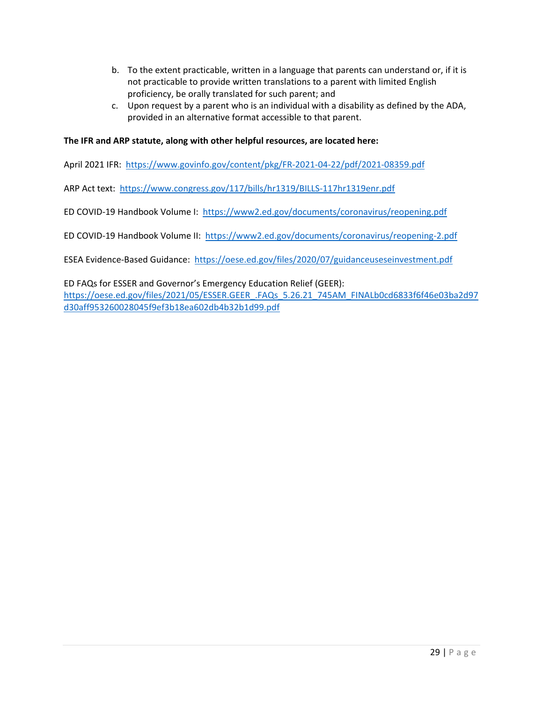- b. To the extent practicable, written in a language that parents can understand or, if it is not practicable to provide written translations to a parent with limited English proficiency, be orally translated for such parent; and
- c. Upon request by a parent who is an individual with a disability as defined by the ADA, provided in an alternative format accessible to that parent.

#### **The IFR and ARP statute, along with other helpful resources, are located here:**

April 2021 IFR: <https://www.govinfo.gov/content/pkg/FR-2021-04-22/pdf/2021-08359.pdf>

ARP Act text: <https://www.congress.gov/117/bills/hr1319/BILLS-117hr1319enr.pdf>

ED COVID-19 Handbook Volume I: <https://www2.ed.gov/documents/coronavirus/reopening.pdf>

ED COVID-19 Handbook Volume II:<https://www2.ed.gov/documents/coronavirus/reopening-2.pdf>

ESEA Evidence-Based Guidance: <https://oese.ed.gov/files/2020/07/guidanceuseseinvestment.pdf>

ED FAQs for ESSER and Governor's Emergency Education Relief (GEER): [https://oese.ed.gov/files/2021/05/ESSER.GEER\\_.FAQs\\_5.26.21\\_745AM\\_FINALb0cd6833f6f46e03ba2d97](https://oese.ed.gov/files/2021/05/ESSER.GEER_.FAQs_5.26.21_745AM_FINALb0cd6833f6f46e03ba2d97d30aff953260028045f9ef3b18ea602db4b32b1d99.pdf) [d30aff953260028045f9ef3b18ea602db4b32b1d99.pdf](https://oese.ed.gov/files/2021/05/ESSER.GEER_.FAQs_5.26.21_745AM_FINALb0cd6833f6f46e03ba2d97d30aff953260028045f9ef3b18ea602db4b32b1d99.pdf)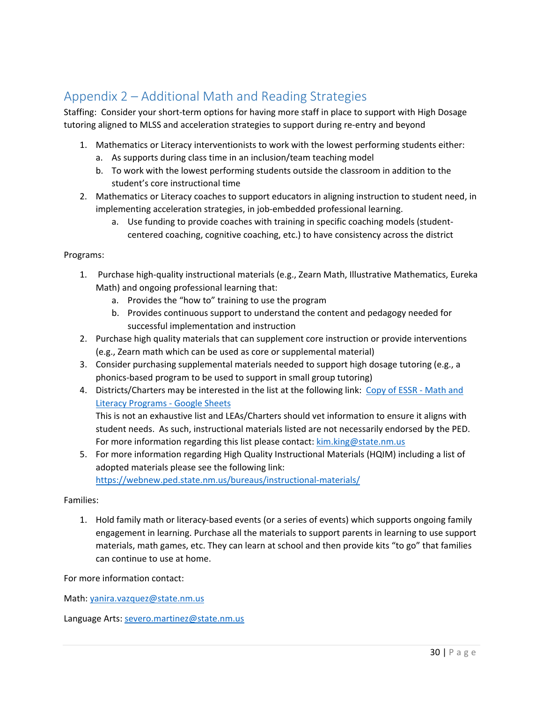# <span id="page-30-0"></span>Appendix 2 – Additional Math and Reading Strategies

Staffing: Consider your short-term options for having more staff in place to support with High Dosage tutoring aligned to MLSS and acceleration strategies to support during re-entry and beyond

- 1. Mathematics or Literacy interventionists to work with the lowest performing students either:
	- a. As supports during class time in an inclusion/team teaching model
	- b. To work with the lowest performing students outside the classroom in addition to the student's core instructional time
- 2. Mathematics or Literacy coaches to support educators in aligning instruction to student need, in implementing acceleration strategies, in job-embedded professional learning.
	- a. Use funding to provide coaches with training in specific coaching models (studentcentered coaching, cognitive coaching, etc.) to have consistency across the district

#### Programs:

- 1. Purchase high-quality instructional materials (e.g., Zearn Math, Illustrative Mathematics, Eureka Math) and ongoing professional learning that:
	- a. Provides the "how to" training to use the program
	- b. Provides continuous support to understand the content and pedagogy needed for successful implementation and instruction
- 2. Purchase high quality materials that can supplement core instruction or provide interventions (e.g., Zearn math which can be used as core or supplemental material)
- 3. Consider purchasing supplemental materials needed to support high dosage tutoring (e.g., a phonics-based program to be used to support in small group tutoring)
- 4. Districts/Charters may be interested in the list at the following link: [Copy of ESSR -](https://docs.google.com/spreadsheets/d/1dBdpySWmm6Oj6HV9j-raknd_QQ6OcWt8UWC6wxpYvUY/edit#gid=578599435) Math and [Literacy Programs -](https://docs.google.com/spreadsheets/d/1dBdpySWmm6Oj6HV9j-raknd_QQ6OcWt8UWC6wxpYvUY/edit#gid=578599435) Google Sheets

This is not an exhaustive list and LEAs/Charters should vet information to ensure it aligns with student needs. As such, instructional materials listed are not necessarily endorsed by the PED. For more information regarding this list please contact: [kim.king@state.nm.us](mailto:kim.king@state.nm.us)

5. For more information regarding High Quality Instructional Materials (HQIM) including a list of adopted materials please see the following link:

<https://webnew.ped.state.nm.us/bureaus/instructional-materials/>

#### Families:

1. Hold family math or literacy-based events (or a series of events) which supports ongoing family engagement in learning. Purchase all the materials to support parents in learning to use support materials, math games, etc. They can learn at school and then provide kits "to go" that families can continue to use at home.

For more information contact:

Math: [yanira.vazquez@state.nm.us](mailto:yanira.vazquez@state.nm.us)

Language Arts[: severo.martinez@state.nm.us](mailto:severo.martinez@state.nm.us)